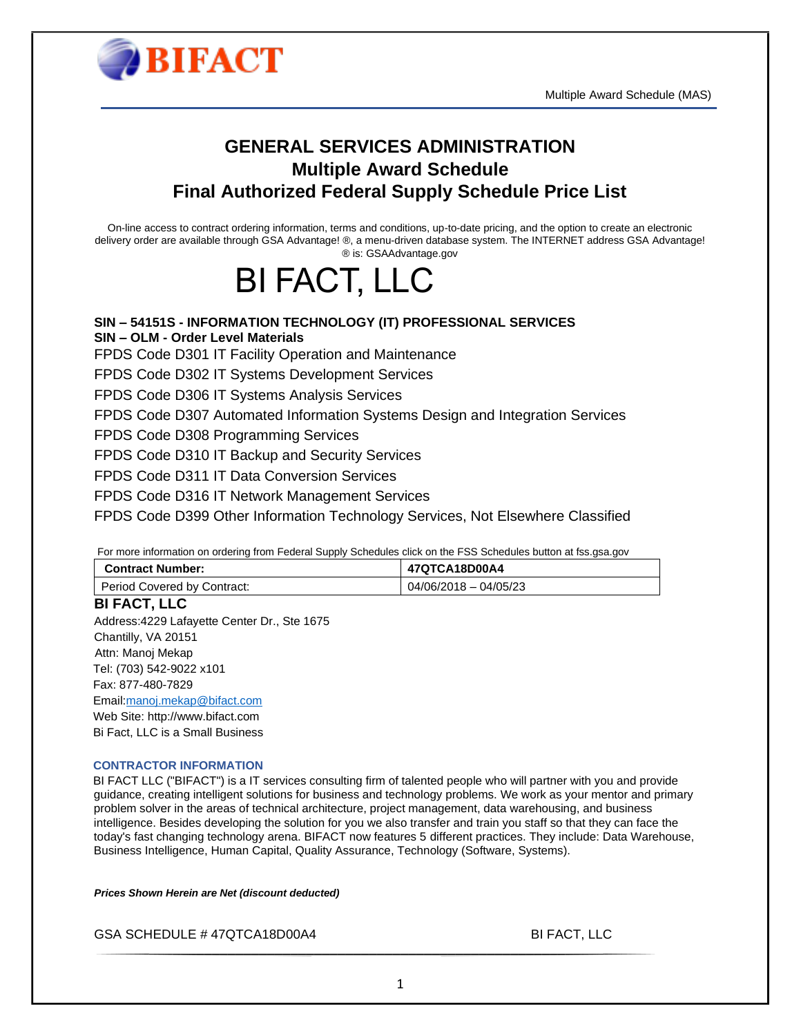



### **GENERAL SERVICES ADMINISTRATION Multiple Award Schedule Final Authorized Federal Supply Schedule Price List**

On-line access to contract ordering information, terms and conditions, up-to-date pricing, and the option to create an electronic delivery order are available through GSA Advantage! ®, a menu-driven database system. The INTERNET address GSA Advantage! ® is: GSAAdvantage.gov

# BI FACT, LLC

**SIN – 54151S - INFORMATION TECHNOLOGY (IT) PROFESSIONAL SERVICES SIN – OLM - Order Level Materials** FPDS Code D301 IT Facility Operation and Maintenance FPDS Code D302 IT Systems Development Services FPDS Code D306 IT Systems Analysis Services FPDS Code D307 Automated Information Systems Design and Integration Services FPDS Code D308 Programming Services FPDS Code D310 IT Backup and Security Services FPDS Code D311 IT Data Conversion Services FPDS Code D316 IT Network Management Services FPDS Code D399 Other Information Technology Services, Not Elsewhere Classified

For more information on ordering from Federal Supply Schedules click on the FSS Schedules button at fss.gsa.gov

| <b>Contract Number:</b>     | 47QTCA18D00A4           |
|-----------------------------|-------------------------|
| Period Covered by Contract: | $04/06/2018 - 04/05/23$ |

**BI FACT, LLC**  Address:4229 Lafayette Center Dr., Ste 1675 Chantilly, VA 20151 Attn: Manoj Mekap Tel: (703) 542-9022 x101 Fax: 877-480-7829 Email[:manoj.mekap@bifact.com](mailto:manoj.mekap@bifact.com) Web Site: http://www.bifact.com Bi Fact, LLC is a Small Business

#### **CONTRACTOR INFORMATION**

BI FACT LLC ("BIFACT") is a IT services consulting firm of talented people who will partner with you and provide guidance, creating intelligent solutions for business and technology problems. We work as your mentor and primary problem solver in the areas of technical architecture, project management, data warehousing, and business intelligence. Besides developing the solution for you we also transfer and train you staff so that they can face the today's fast changing technology arena. BIFACT now features 5 different practices. They include: Data Warehouse, Business Intelligence, Human Capital, Quality Assurance, Technology (Software, Systems).

*Prices Shown Herein are Net (discount deducted)*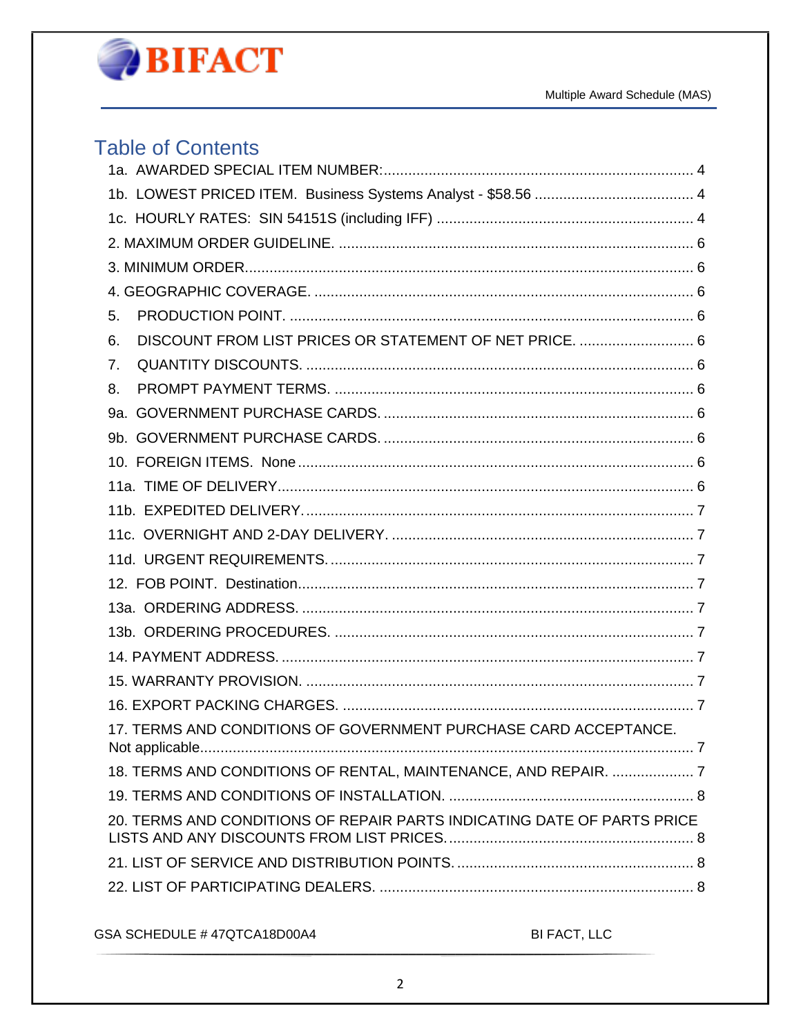

### **Table of Contents**

| 5.                                                                      |
|-------------------------------------------------------------------------|
| DISCOUNT FROM LIST PRICES OR STATEMENT OF NET PRICE.  6<br>6.           |
| 7.                                                                      |
| 8.                                                                      |
|                                                                         |
|                                                                         |
|                                                                         |
|                                                                         |
|                                                                         |
|                                                                         |
|                                                                         |
|                                                                         |
|                                                                         |
|                                                                         |
|                                                                         |
|                                                                         |
|                                                                         |
| 17. TERMS AND CONDITIONS OF GOVERNMENT PURCHASE CARD ACCEPTANCE.        |
| 18. TERMS AND CONDITIONS OF RENTAL, MAINTENANCE, AND REPAIR.  7         |
|                                                                         |
| 20. TERMS AND CONDITIONS OF REPAIR PARTS INDICATING DATE OF PARTS PRICE |
|                                                                         |
|                                                                         |
|                                                                         |

GSA SCHEDULE #47QTCA18D00A4

BI FACT, LLC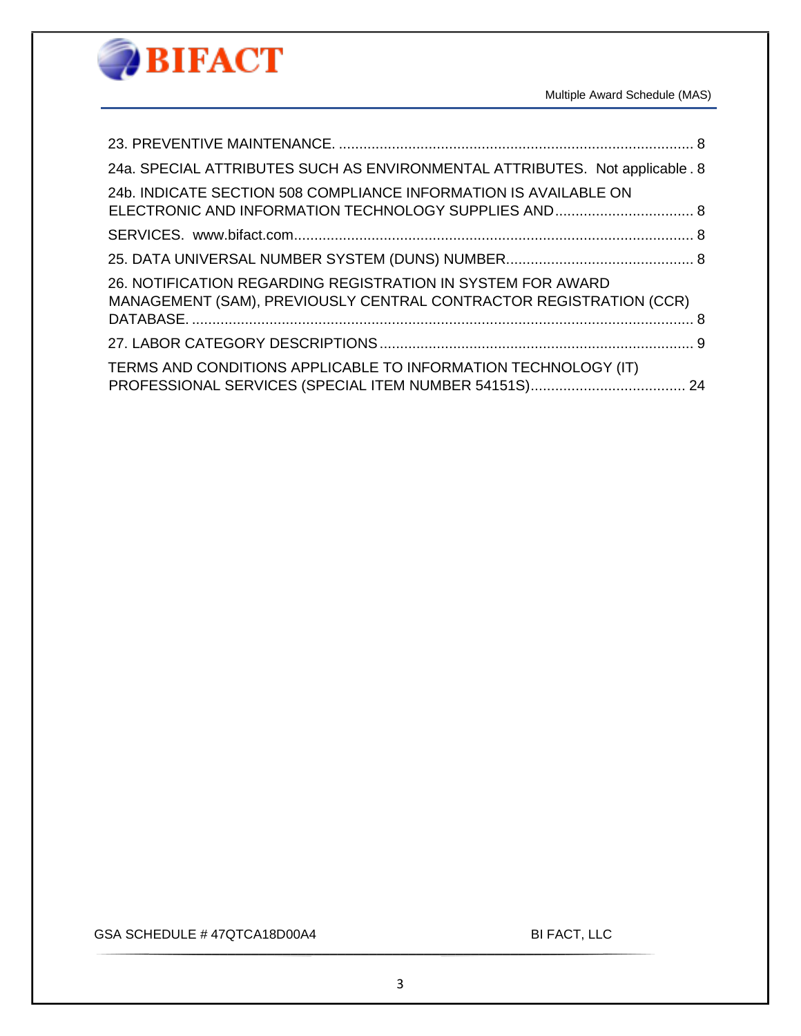

| 24a. SPECIAL ATTRIBUTES SUCH AS ENVIRONMENTAL ATTRIBUTES. Not applicable . 8 |  |
|------------------------------------------------------------------------------|--|
| 24b. INDICATE SECTION 508 COMPLIANCE INFORMATION IS AVAILABLE ON             |  |
|                                                                              |  |
|                                                                              |  |
|                                                                              |  |
| 26. NOTIFICATION REGARDING REGISTRATION IN SYSTEM FOR AWARD                  |  |
| MANAGEMENT (SAM), PREVIOUSLY CENTRAL CONTRACTOR REGISTRATION (CCR)           |  |
|                                                                              |  |
|                                                                              |  |
| TERMS AND CONDITIONS APPLICABLE TO INFORMATION TECHNOLOGY (IT)               |  |
|                                                                              |  |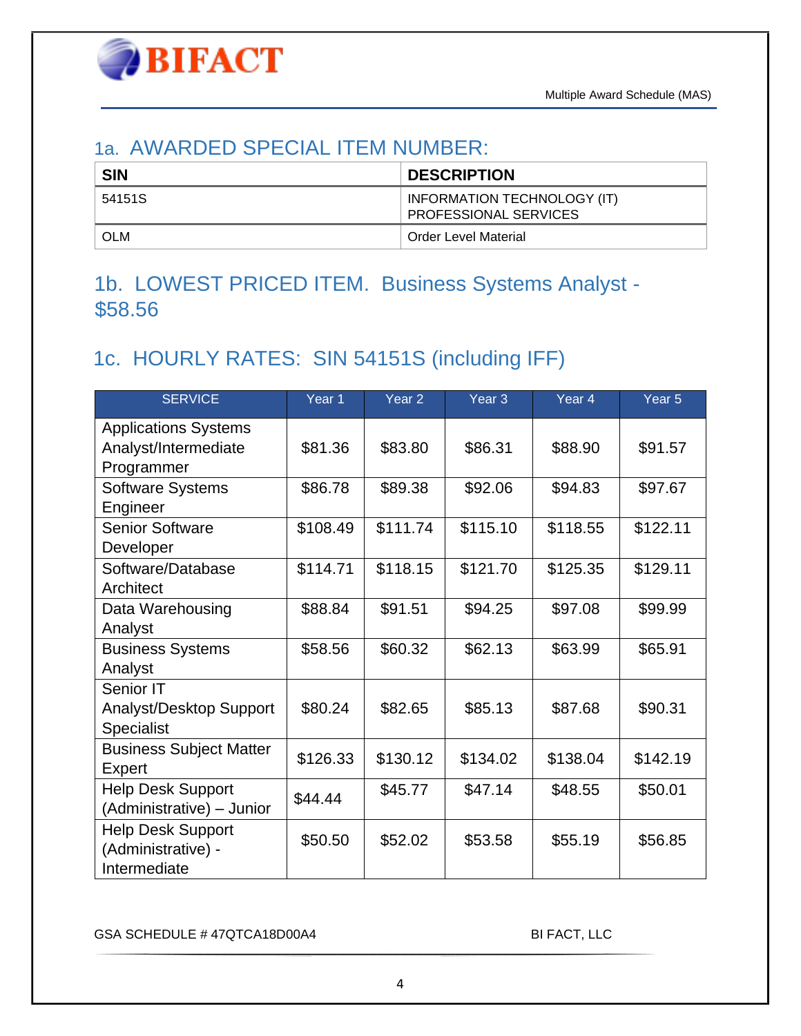### <span id="page-3-0"></span>1a. AWARDED SPECIAL ITEM NUMBER:

| <b>SIN</b> | <b>DESCRIPTION</b>                                          |
|------------|-------------------------------------------------------------|
| 54151S     | INFORMATION TECHNOLOGY (IT)<br><b>PROFESSIONAL SERVICES</b> |
| <b>OLM</b> | Order Level Material                                        |

# <span id="page-3-1"></span>1b. LOWEST PRICED ITEM. Business Systems Analyst - \$58.56

# <span id="page-3-2"></span>1c. HOURLY RATES: SIN 54151S (including IFF)

| <b>SERVICE</b>                                                    | Year 1   | Year <sub>2</sub> | Year <sub>3</sub> | Year <sub>4</sub> | Year <sub>5</sub> |
|-------------------------------------------------------------------|----------|-------------------|-------------------|-------------------|-------------------|
| <b>Applications Systems</b><br>Analyst/Intermediate<br>Programmer | \$81.36  | \$83.80           | \$86.31           | \$88.90           | \$91.57           |
| <b>Software Systems</b><br>Engineer                               | \$86.78  | \$89.38           | \$92.06           | \$94.83           | \$97.67           |
| <b>Senior Software</b><br>Developer                               | \$108.49 | \$111.74          | \$115.10          | \$118.55          | \$122.11          |
| Software/Database<br>Architect                                    | \$114.71 | \$118.15          | \$121.70          | \$125.35          | \$129.11          |
| Data Warehousing<br>Analyst                                       | \$88.84  | \$91.51           | \$94.25           | \$97.08           | \$99.99           |
| <b>Business Systems</b><br>Analyst                                | \$58.56  | \$60.32           | \$62.13           | \$63.99           | \$65.91           |
| Senior IT<br>Analyst/Desktop Support<br>Specialist                | \$80.24  | \$82.65           | \$85.13           | \$87.68           | \$90.31           |
| <b>Business Subject Matter</b><br>Expert                          | \$126.33 | \$130.12          | \$134.02          | \$138.04          | \$142.19          |
| <b>Help Desk Support</b><br>(Administrative) - Junior             | \$44.44  | \$45.77           | \$47.14           | \$48.55           | \$50.01           |
| <b>Help Desk Support</b><br>(Administrative) -<br>Intermediate    | \$50.50  | \$52.02           | \$53.58           | \$55.19           | \$56.85           |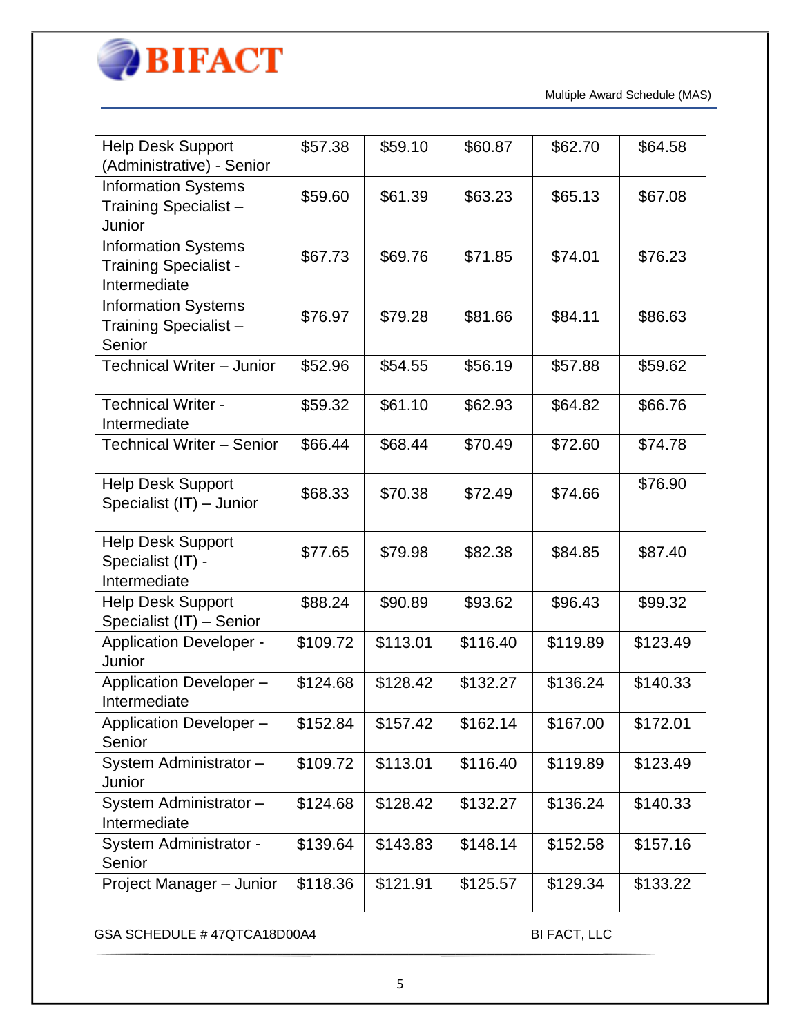

| <b>Help Desk Support</b><br>(Administrative) - Senior                      | \$57.38  | \$59.10  | \$60.87  | \$62.70  | \$64.58  |
|----------------------------------------------------------------------------|----------|----------|----------|----------|----------|
| <b>Information Systems</b><br>Training Specialist-<br>Junior               | \$59.60  | \$61.39  | \$63.23  | \$65.13  | \$67.08  |
| <b>Information Systems</b><br><b>Training Specialist -</b><br>Intermediate | \$67.73  | \$69.76  | \$71.85  | \$74.01  | \$76.23  |
| <b>Information Systems</b><br>Training Specialist-<br>Senior               | \$76.97  | \$79.28  | \$81.66  | \$84.11  | \$86.63  |
| Technical Writer - Junior                                                  | \$52.96  | \$54.55  | \$56.19  | \$57.88  | \$59.62  |
| <b>Technical Writer -</b><br>Intermediate                                  | \$59.32  | \$61.10  | \$62.93  | \$64.82  | \$66.76  |
| <b>Technical Writer - Senior</b>                                           | \$66.44  | \$68.44  | \$70.49  | \$72.60  | \$74.78  |
| <b>Help Desk Support</b><br>Specialist (IT) - Junior                       | \$68.33  | \$70.38  | \$72.49  | \$74.66  | \$76.90  |
| <b>Help Desk Support</b><br>Specialist (IT) -<br>Intermediate              | \$77.65  | \$79.98  | \$82.38  | \$84.85  | \$87.40  |
| <b>Help Desk Support</b><br>Specialist (IT) - Senior                       | \$88.24  | \$90.89  | \$93.62  | \$96.43  | \$99.32  |
| <b>Application Developer -</b><br>Junior                                   | \$109.72 | \$113.01 | \$116.40 | \$119.89 | \$123.49 |
| Application Developer-<br>Intermediate                                     | \$124.68 | \$128.42 | \$132.27 | \$136.24 | \$140.33 |
| Application Developer -<br>Senior                                          | \$152.84 | \$157.42 | \$162.14 | \$167.00 | \$172.01 |
| System Administrator-<br>Junior                                            | \$109.72 | \$113.01 | \$116.40 | \$119.89 | \$123.49 |
| System Administrator-<br>Intermediate                                      | \$124.68 | \$128.42 | \$132.27 | \$136.24 | \$140.33 |
| System Administrator -<br>Senior                                           | \$139.64 | \$143.83 | \$148.14 | \$152.58 | \$157.16 |
| Project Manager - Junior                                                   | \$118.36 | \$121.91 | \$125.57 | \$129.34 | \$133.22 |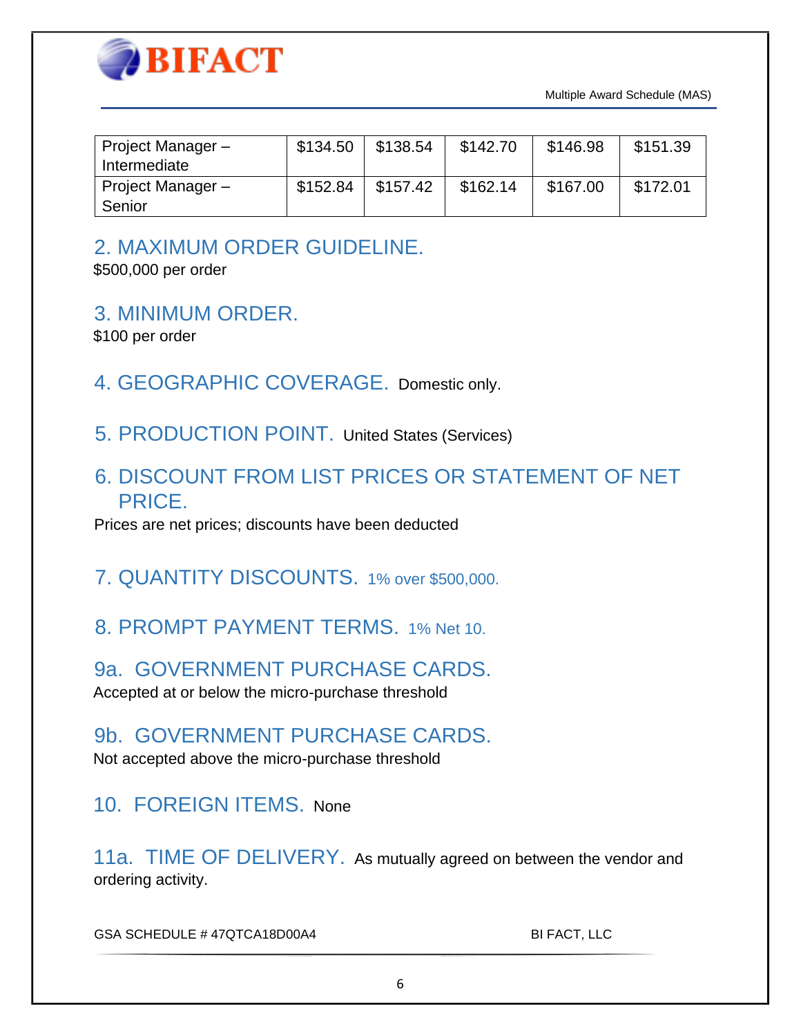

| Project Manager -<br>Intermediate | \$134.50 | \$138.54 | \$142.70 | \$146.98 | \$151.39 |
|-----------------------------------|----------|----------|----------|----------|----------|
| Project Manager -<br>Senior       | \$152.84 | \$157.42 | \$162.14 | \$167.00 | \$172.01 |

### <span id="page-5-0"></span>2. MAXIMUM ORDER GUIDELINE.

\$500,000 per order

<span id="page-5-1"></span>3. MINIMUM ORDER.

\$100 per order

- <span id="page-5-2"></span>4. GEOGRAPHIC COVERAGE.Domestic only.
- <span id="page-5-3"></span>5. PRODUCTION POINT.United States (Services)
- <span id="page-5-4"></span>6. DISCOUNT FROM LIST PRICES OR STATEMENT OF NET PRICE.

Prices are net prices; discounts have been deducted

- <span id="page-5-5"></span>7. QUANTITY DISCOUNTS.1% over \$500,000.
- <span id="page-5-6"></span>8. PROMPT PAYMENT TERMS.1% Net 10.

<span id="page-5-7"></span>9a. GOVERNMENT PURCHASE CARDS. Accepted at or below the micro-purchase threshold

<span id="page-5-8"></span>9b. GOVERNMENT PURCHASE CARDS.

Not accepted above the micro-purchase threshold

<span id="page-5-9"></span>10. FOREIGN ITEMS.None

<span id="page-5-10"></span>11a. TIME OF DELIVERY.As mutually agreed on between the vendor and ordering activity.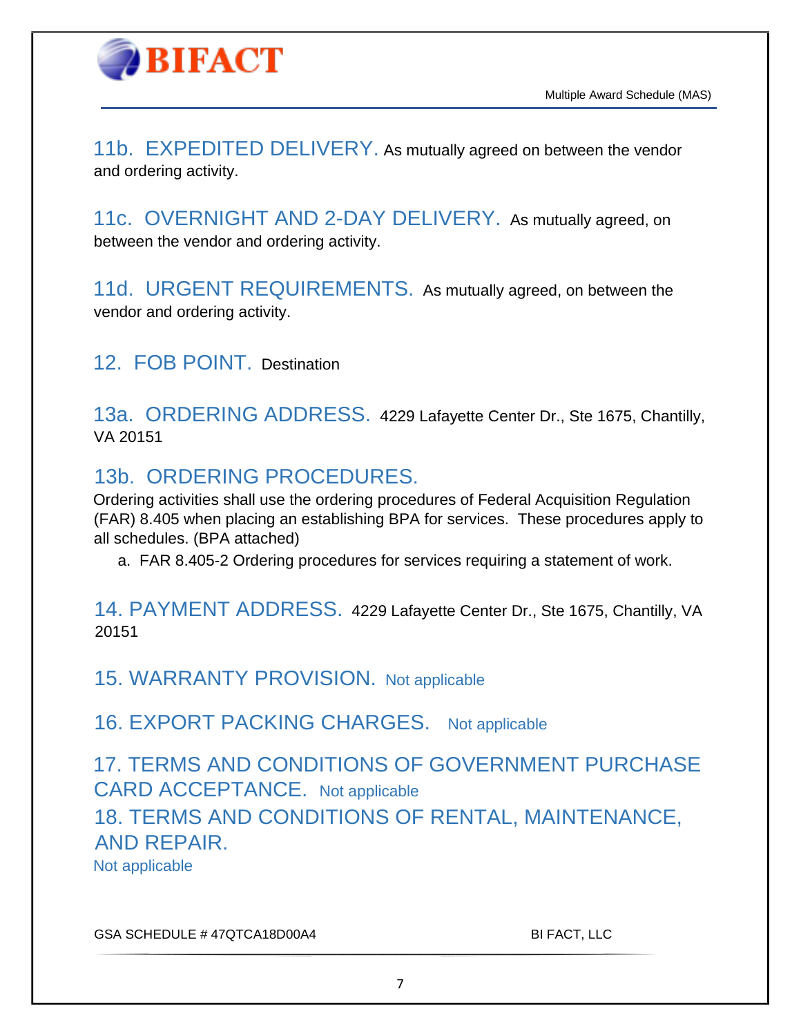

<span id="page-6-0"></span>11b. EXPEDITED DELIVERY. As mutually agreed on between the vendor and ordering activity.

<span id="page-6-1"></span>11c. OVERNIGHT AND 2-DAY DELIVERY.As mutually agreed, on between the vendor and ordering activity.

<span id="page-6-2"></span>11d. URGENT REQUIREMENTS.As mutually agreed, on between the vendor and ordering activity.

<span id="page-6-3"></span>12. FOB POINT.Destination

<span id="page-6-4"></span>13a. ORDERING ADDRESS.4229 Lafayette Center Dr., Ste 1675, Chantilly, VA 20151

### <span id="page-6-5"></span>13b. ORDERING PROCEDURES.

Ordering activities shall use the ordering procedures of Federal Acquisition Regulation (FAR) 8.405 when placing an establishing BPA for services. These procedures apply to all schedules. (BPA attached)

a. FAR 8.405-2 Ordering procedures for services requiring a statement of work.

<span id="page-6-6"></span>14. PAYMENT ADDRESS.4229 Lafayette Center Dr., Ste 1675, Chantilly, VA 20151

<span id="page-6-7"></span>15. WARRANTY PROVISION.Not applicable

<span id="page-6-8"></span>16. EXPORT PACKING CHARGES. Not applicable

<span id="page-6-10"></span><span id="page-6-9"></span>17. TERMS AND CONDITIONS OF GOVERNMENT PURCHASE CARD ACCEPTANCE. Not applicable 18. TERMS AND CONDITIONS OF RENTAL, MAINTENANCE, AND REPAIR. Not applicable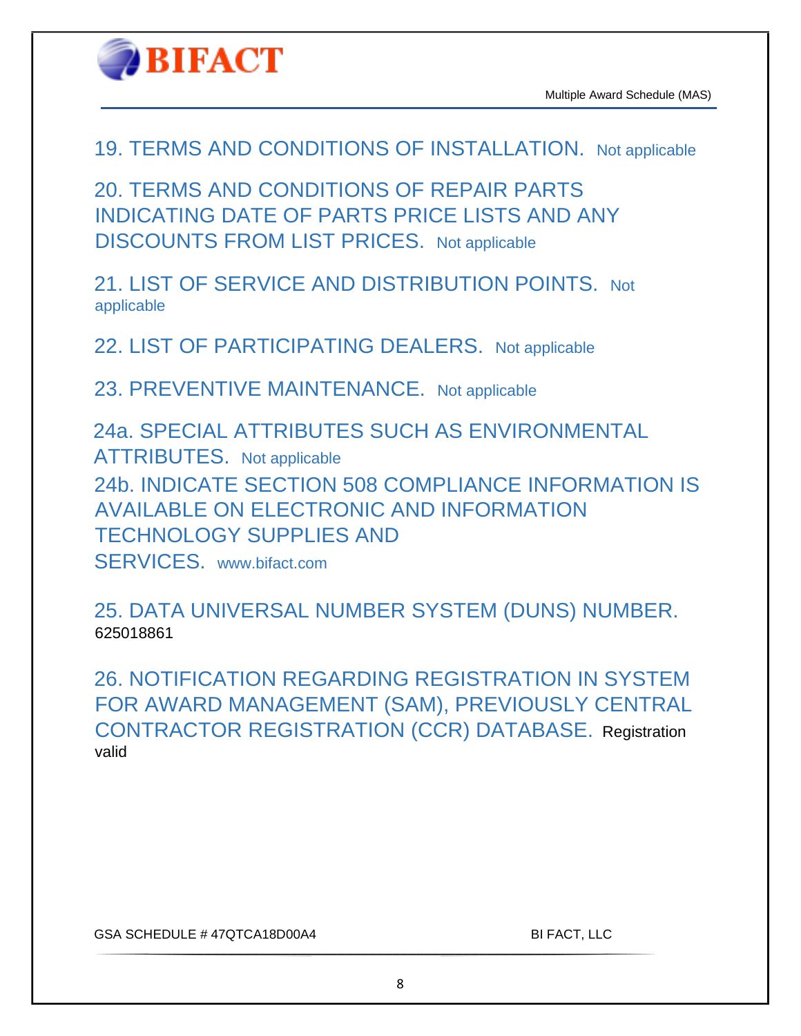

<span id="page-7-0"></span>19. TERMS AND CONDITIONS OF INSTALLATION. Not applicable

<span id="page-7-1"></span>20. TERMS AND CONDITIONS OF REPAIR PARTS INDICATING DATE OF PARTS PRICE LISTS AND ANY DISCOUNTS FROM LIST PRICES. Not applicable

<span id="page-7-2"></span>21. LIST OF SERVICE AND DISTRIBUTION POINTS. Not applicable

<span id="page-7-3"></span>22. LIST OF PARTICIPATING DEALERS. Not applicable

<span id="page-7-4"></span>23. PREVENTIVE MAINTENANCE. Not applicable

<span id="page-7-6"></span><span id="page-7-5"></span>24a. SPECIAL ATTRIBUTES SUCH AS ENVIRONMENTAL ATTRIBUTES. Not applicable 24b. INDICATE SECTION 508 COMPLIANCE INFORMATION IS AVAILABLE ON ELECTRONIC AND INFORMATION TECHNOLOGY SUPPLIES AND SERVICES. www.bifact.com

<span id="page-7-8"></span><span id="page-7-7"></span>25. DATA UNIVERSAL NUMBER SYSTEM (DUNS) NUMBER. 625018861

<span id="page-7-9"></span>26. NOTIFICATION REGARDING REGISTRATION IN SYSTEM FOR AWARD MANAGEMENT (SAM), PREVIOUSLY CENTRAL CONTRACTOR REGISTRATION (CCR) DATABASE.Registration valid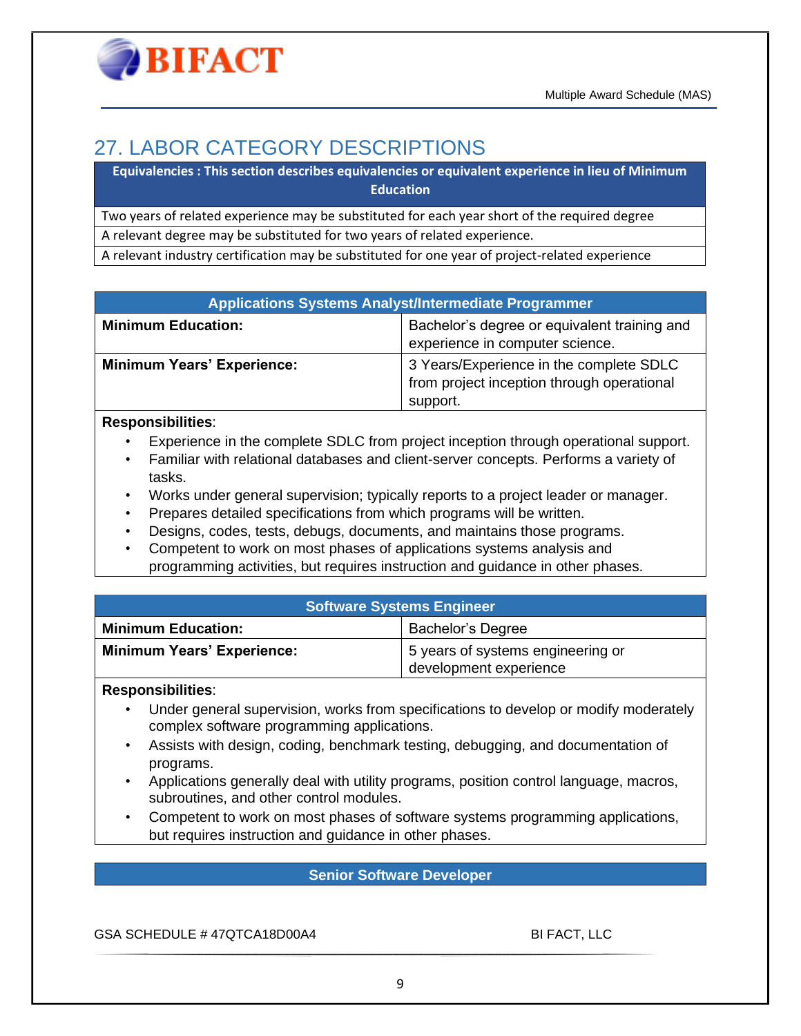# <span id="page-8-0"></span>27. LABOR CATEGORY DESCRIPTIONS

**Equivalencies : This section describes equivalencies or equivalent experience in lieu of Minimum Education**

Two years of related experience may be substituted for each year short of the required degree

A relevant degree may be substituted for two years of related experience.

A relevant industry certification may be substituted for one year of project-related experience

#### **Applications Systems Analyst/Intermediate Programmer**

| <b>Minimum Education:</b>         | Bachelor's degree or equivalent training and<br>experience in computer science.                   |
|-----------------------------------|---------------------------------------------------------------------------------------------------|
| <b>Minimum Years' Experience:</b> | 3 Years/Experience in the complete SDLC<br>from project inception through operational<br>support. |

#### **Responsibilities**:

- Experience in the complete SDLC from project inception through operational support.
- Familiar with relational databases and client-server concepts. Performs a variety of tasks.
- Works under general supervision; typically reports to a project leader or manager.
- Prepares detailed specifications from which programs will be written.
- Designs, codes, tests, debugs, documents, and maintains those programs.
- Competent to work on most phases of applications systems analysis and
- programming activities, but requires instruction and guidance in other phases.

| <b>Software Systems Engineer</b>  |                                                             |  |
|-----------------------------------|-------------------------------------------------------------|--|
| <b>Minimum Education:</b>         | Bachelor's Degree                                           |  |
| <b>Minimum Years' Experience:</b> | 5 years of systems engineering or<br>development experience |  |

#### **Responsibilities**:

- Under general supervision, works from specifications to develop or modify moderately complex software programming applications.
- Assists with design, coding, benchmark testing, debugging, and documentation of programs.
- Applications generally deal with utility programs, position control language, macros, subroutines, and other control modules.
- Competent to work on most phases of software systems programming applications, but requires instruction and guidance in other phases.

#### **Senior Software Developer**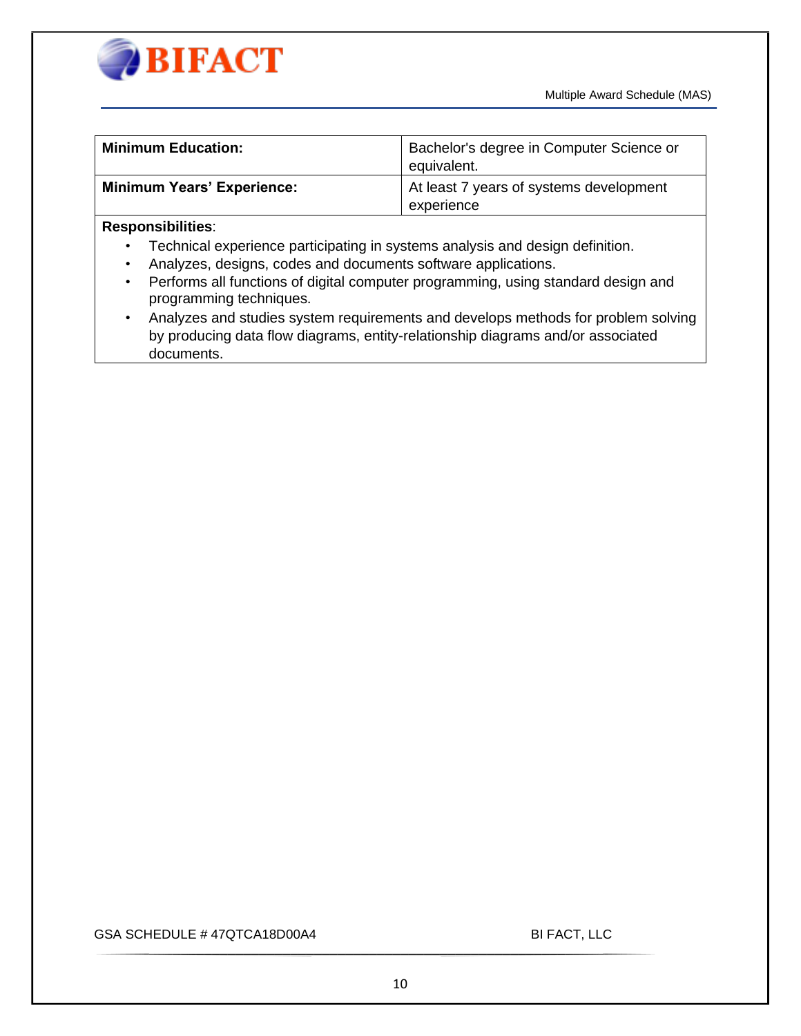



| <b>Minimum Education:</b>         | Bachelor's degree in Computer Science or<br>equivalent. |
|-----------------------------------|---------------------------------------------------------|
| <b>Minimum Years' Experience:</b> | At least 7 years of systems development                 |
|                                   | experience                                              |

#### **Responsibilities**:

- Technical experience participating in systems analysis and design definition.
- Analyzes, designs, codes and documents software applications.
- Performs all functions of digital computer programming, using standard design and programming techniques.
- Analyzes and studies system requirements and develops methods for problem solving by producing data flow diagrams, entity-relationship diagrams and/or associated documents.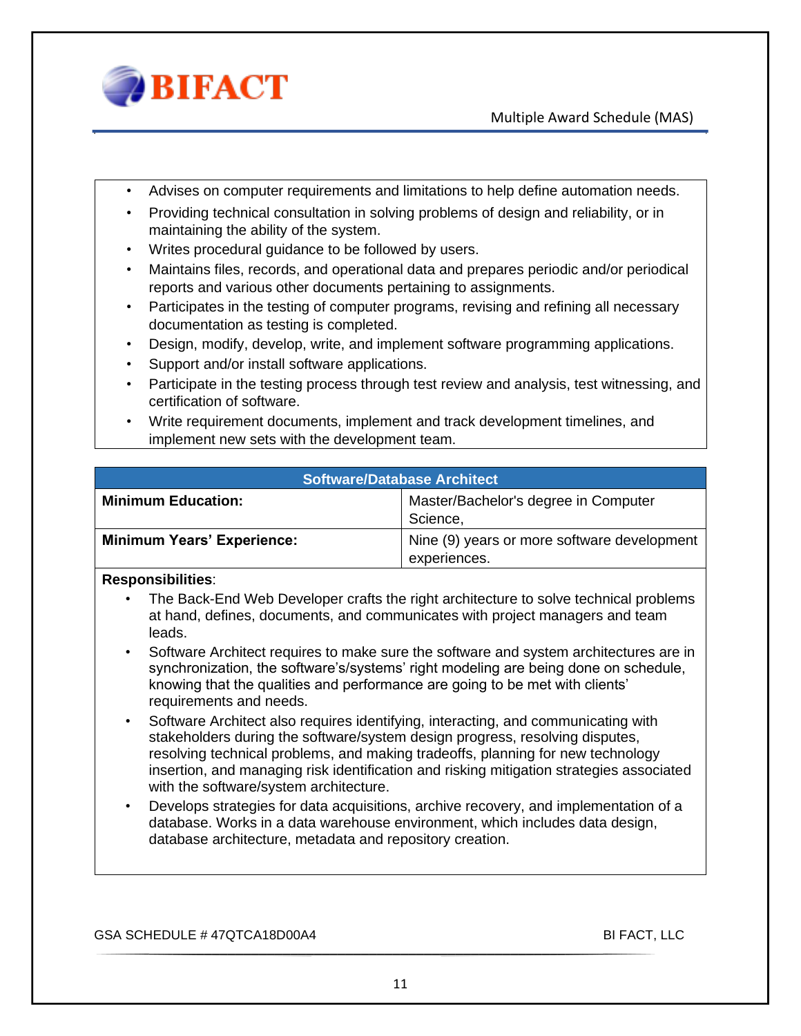

- Advises on computer requirements and limitations to help define automation needs.
- Providing technical consultation in solving problems of design and reliability, or in maintaining the ability of the system.
- Writes procedural guidance to be followed by users.
- Maintains files, records, and operational data and prepares periodic and/or periodical reports and various other documents pertaining to assignments.
- Participates in the testing of computer programs, revising and refining all necessary documentation as testing is completed.
- Design, modify, develop, write, and implement software programming applications.
- Support and/or install software applications.
- Participate in the testing process through test review and analysis, test witnessing, and certification of software.
- Write requirement documents, implement and track development timelines, and implement new sets with the development team.

| <b>Software/Database Architect</b> |  |
|------------------------------------|--|
|                                    |  |

| <b>Minimum Education:</b>         | Master/Bachelor's degree in Computer        |
|-----------------------------------|---------------------------------------------|
|                                   | Science,                                    |
| <b>Minimum Years' Experience:</b> | Nine (9) years or more software development |
|                                   | experiences.                                |

#### **Responsibilities**:

- The Back-End Web Developer crafts the right architecture to solve technical problems at hand, defines, documents, and communicates with project managers and team leads.
- Software Architect requires to make sure the software and system architectures are in synchronization, the software's/systems' right modeling are being done on schedule, knowing that the qualities and performance are going to be met with clients' requirements and needs.
- Software Architect also requires identifying, interacting, and communicating with stakeholders during the software/system design progress, resolving disputes, resolving technical problems, and making tradeoffs, planning for new technology insertion, and managing risk identification and risking mitigation strategies associated with the software/system architecture.
- Develops strategies for data acquisitions, archive recovery, and implementation of a database. Works in a data warehouse environment, which includes data design, database architecture, metadata and repository creation.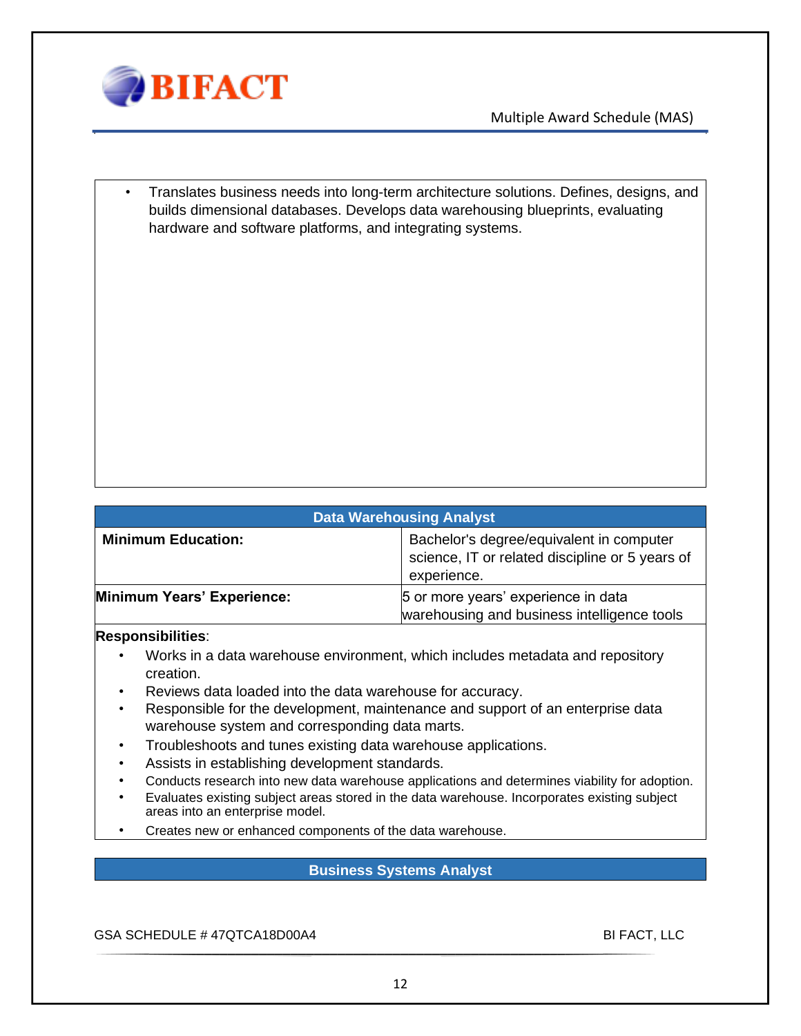

• Translates business needs into long-term architecture solutions. Defines, designs, and builds dimensional databases. Develops data warehousing blueprints, evaluating hardware and software platforms, and integrating systems.

| <b>Data Warehousing Analyst</b> |                                                                                                            |
|---------------------------------|------------------------------------------------------------------------------------------------------------|
| <b>Minimum Education:</b>       | Bachelor's degree/equivalent in computer<br>science, IT or related discipline or 5 years of<br>experience. |
| Minimum Years' Experience:      | 5 or more years' experience in data<br>warehousing and business intelligence tools                         |

#### **Responsibilities**:

- Works in a data warehouse environment, which includes metadata and repository creation.
- Reviews data loaded into the data warehouse for accuracy.
- Responsible for the development, maintenance and support of an enterprise data warehouse system and corresponding data marts.
- Troubleshoots and tunes existing data warehouse applications.
- Assists in establishing development standards.
- Conducts research into new data warehouse applications and determines viability for adoption.
- Evaluates existing subject areas stored in the data warehouse. Incorporates existing subject areas into an enterprise model.
- Creates new or enhanced components of the data warehouse.

#### **Business Systems Analyst**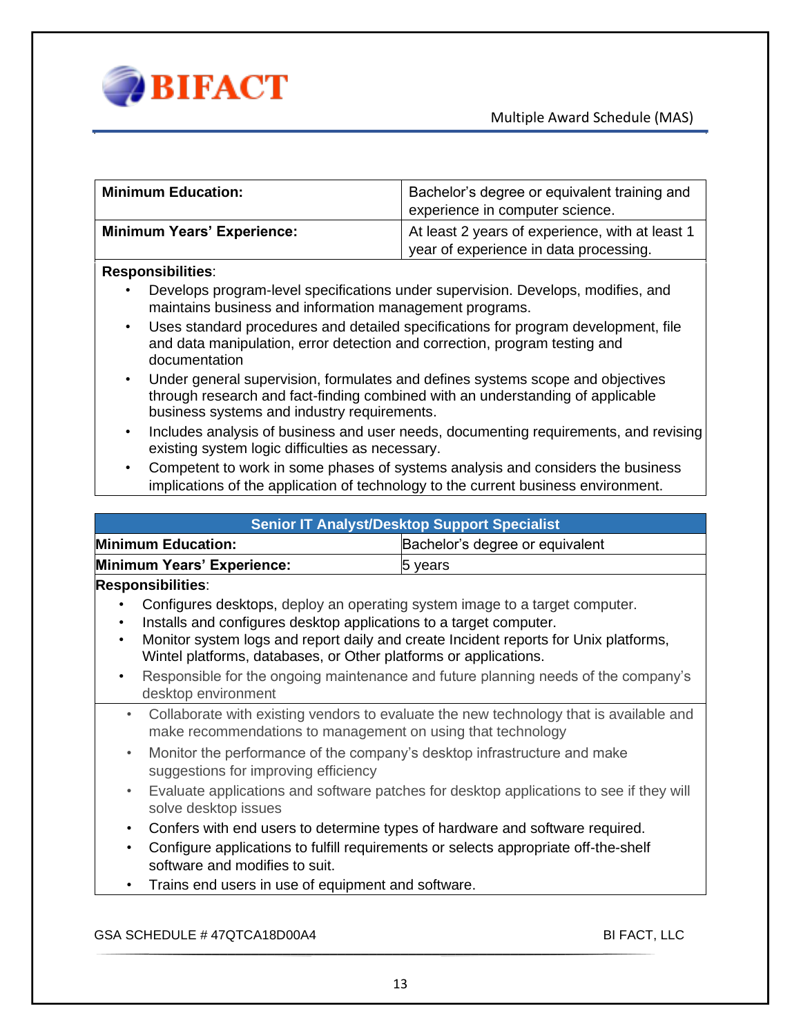

| <b>Minimum Education:</b>         | Bachelor's degree or equivalent training and    |
|-----------------------------------|-------------------------------------------------|
|                                   | experience in computer science.                 |
| <b>Minimum Years' Experience:</b> | At least 2 years of experience, with at least 1 |
|                                   | year of experience in data processing.          |

#### **Responsibilities**:

- Develops program-level specifications under supervision. Develops, modifies, and maintains business and information management programs.
- Uses standard procedures and detailed specifications for program development, file and data manipulation, error detection and correction, program testing and documentation
- Under general supervision, formulates and defines systems scope and objectives through research and fact-finding combined with an understanding of applicable business systems and industry requirements.
- Includes analysis of business and user needs, documenting requirements, and revising existing system logic difficulties as necessary.
- Competent to work in some phases of systems analysis and considers the business implications of the application of technology to the current business environment.

| <b>Senior IT Analyst/Desktop Support Specialist</b>                                                                                                                |                                 |
|--------------------------------------------------------------------------------------------------------------------------------------------------------------------|---------------------------------|
| <b>Minimum Education:</b>                                                                                                                                          | Bachelor's degree or equivalent |
| Minimum Years' Experience:                                                                                                                                         | 5 years                         |
| <b>Responsibilities:</b>                                                                                                                                           |                                 |
| Configures desktops, deploy an operating system image to a target computer.                                                                                        |                                 |
| Installs and configures desktop applications to a target computer.                                                                                                 |                                 |
| Monitor system logs and report daily and create Incident reports for Unix platforms,<br>Wintel platforms, databases, or Other platforms or applications.           |                                 |
| Responsible for the ongoing maintenance and future planning needs of the company's                                                                                 |                                 |
| desktop environment                                                                                                                                                |                                 |
| Collaborate with existing vendors to evaluate the new technology that is available and<br>$\bullet$<br>make recommendations to management on using that technology |                                 |
| Monitor the performance of the company's desktop infrastructure and make<br>$\bullet$<br>suggestions for improving efficiency                                      |                                 |
| Evaluate applications and software patches for desktop applications to see if they will<br>$\bullet$<br>solve desktop issues                                       |                                 |
| Confers with end users to determine types of hardware and software required.<br>$\bullet$                                                                          |                                 |
| Configure applications to fulfill requirements or selects appropriate off-the-shelf<br>$\bullet$<br>software and modifies to suit.                                 |                                 |
| Trains end users in use of equipment and software.<br>$\bullet$                                                                                                    |                                 |
|                                                                                                                                                                    |                                 |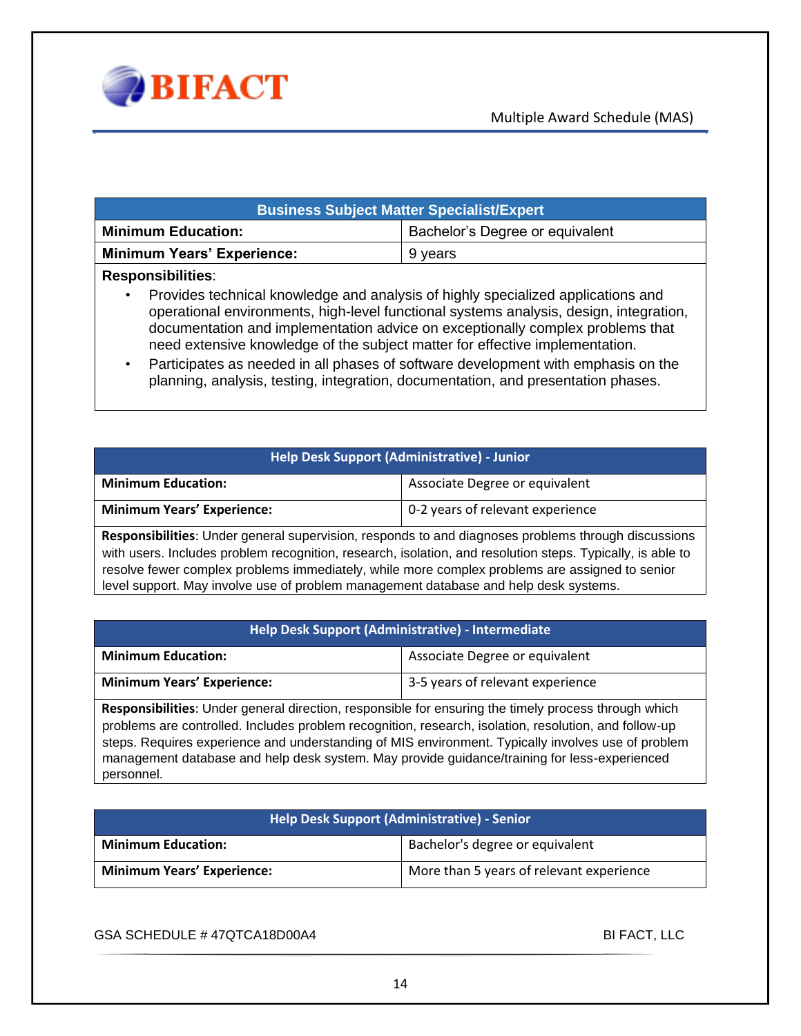

| <b>Business Subject Matter Specialist/Expert</b> |                                 |  |
|--------------------------------------------------|---------------------------------|--|
| <b>Minimum Education:</b>                        | Bachelor's Degree or equivalent |  |
| <b>Minimum Years' Experience:</b>                | 9 years                         |  |
| <b>Responsibilities:</b>                         |                                 |  |

• Provides technical knowledge and analysis of highly specialized applications and operational environments, high-level functional systems analysis, design, integration, documentation and implementation advice on exceptionally complex problems that need extensive knowledge of the subject matter for effective implementation.

• Participates as needed in all phases of software development with emphasis on the planning, analysis, testing, integration, documentation, and presentation phases.

|  | Help Desk Support (Administrative) - Junior <sup> </sup> |
|--|----------------------------------------------------------|
|--|----------------------------------------------------------|

| <b>Minimum Education:</b>         | Associate Degree or equivalent   |
|-----------------------------------|----------------------------------|
| <b>Minimum Years' Experience:</b> | 0-2 years of relevant experience |

**Responsibilities**: Under general supervision, responds to and diagnoses problems through discussions with users. Includes problem recognition, research, isolation, and resolution steps. Typically, is able to resolve fewer complex problems immediately, while more complex problems are assigned to senior level support. May involve use of problem management database and help desk systems.

#### **Help Desk Support (Administrative) - Intermediate**

| <b>Minimum Education:</b>         | Associate Degree or equivalent   |
|-----------------------------------|----------------------------------|
| <b>Minimum Years' Experience:</b> | 3-5 years of relevant experience |

**Responsibilities**: Under general direction, responsible for ensuring the timely process through which problems are controlled. Includes problem recognition, research, isolation, resolution, and follow-up steps. Requires experience and understanding of MIS environment. Typically involves use of problem management database and help desk system. May provide guidance/training for less-experienced personnel.

| Help Desk Support (Administrative) - Senior |                                          |
|---------------------------------------------|------------------------------------------|
| <b>Minimum Education:</b>                   | Bachelor's degree or equivalent          |
| <b>Minimum Years' Experience:</b>           | More than 5 years of relevant experience |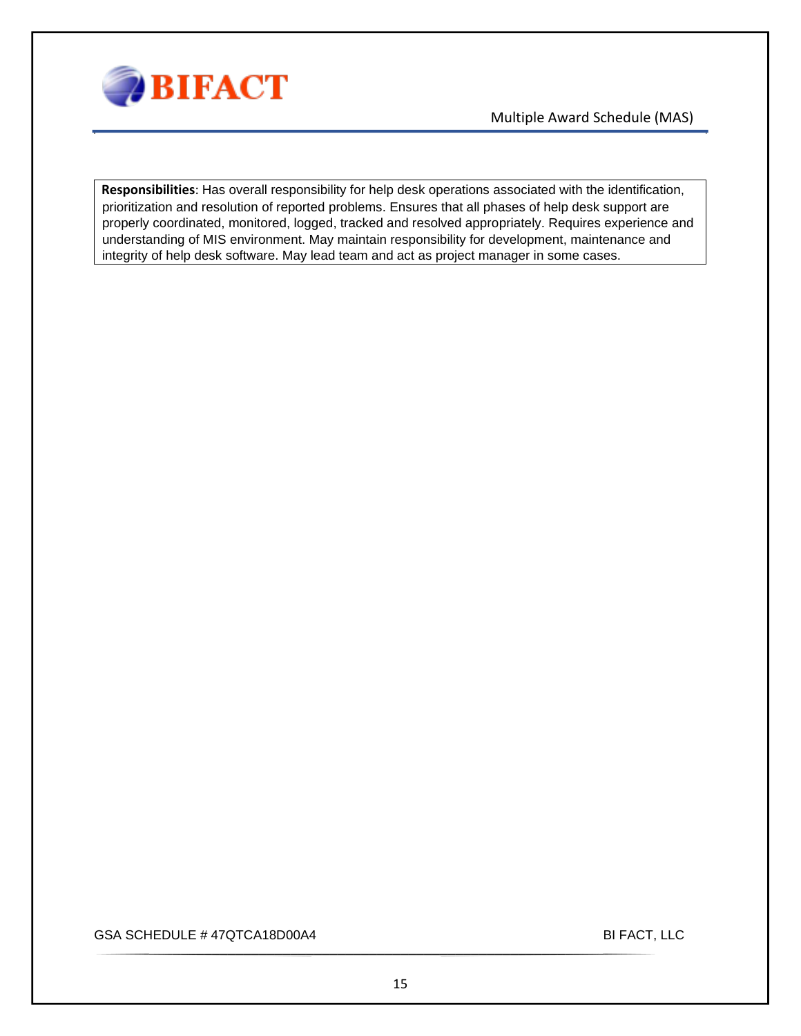

**Responsibilities**: Has overall responsibility for help desk operations associated with the identification, prioritization and resolution of reported problems. Ensures that all phases of help desk support are properly coordinated, monitored, logged, tracked and resolved appropriately. Requires experience and understanding of MIS environment. May maintain responsibility for development, maintenance and integrity of help desk software. May lead team and act as project manager in some cases.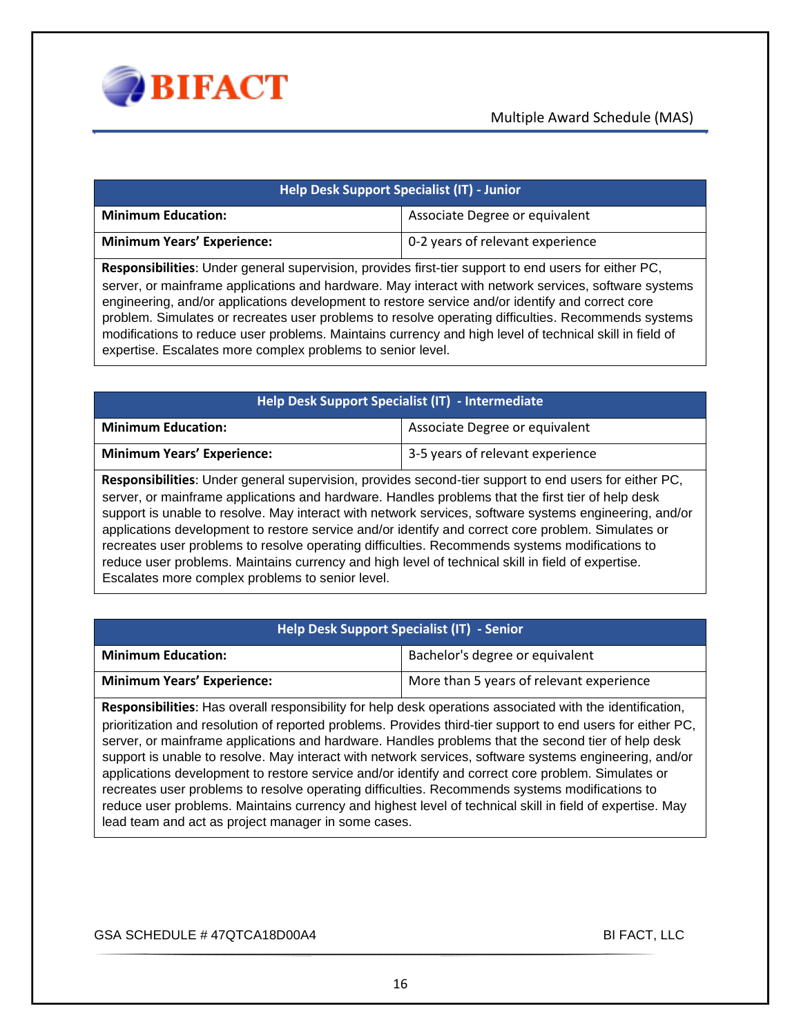

| Help Desk Support Specialist (IT) - Junior                                                                                                                                                                   |                                  |  |
|--------------------------------------------------------------------------------------------------------------------------------------------------------------------------------------------------------------|----------------------------------|--|
| <b>Minimum Education:</b>                                                                                                                                                                                    | Associate Degree or equivalent   |  |
| <b>Minimum Years' Experience:</b>                                                                                                                                                                            | 0-2 years of relevant experience |  |
| Responsibilities: Under general supervision, provides first-tier support to end users for either PC,<br>server, or mainframe applications and hardware. May interact with network services, software systems |                                  |  |

engineering, and/or applications development to restore service and/or identify and correct core problem. Simulates or recreates user problems to resolve operating difficulties. Recommends systems modifications to reduce user problems. Maintains currency and high level of technical skill in field of expertise. Escalates more complex problems to senior level.

| Help Desk Support Specialist (IT) - Intermediate |                                  |
|--------------------------------------------------|----------------------------------|
| <b>Minimum Education:</b>                        | Associate Degree or equivalent   |
| <b>Minimum Years' Experience:</b>                | 3-5 years of relevant experience |

**Responsibilities**: Under general supervision, provides second-tier support to end users for either PC, server, or mainframe applications and hardware. Handles problems that the first tier of help desk support is unable to resolve. May interact with network services, software systems engineering, and/or applications development to restore service and/or identify and correct core problem. Simulates or recreates user problems to resolve operating difficulties. Recommends systems modifications to reduce user problems. Maintains currency and high level of technical skill in field of expertise. Escalates more complex problems to senior level.

#### **Help Desk Support Specialist (IT) - Senior**

| <b>Minimum Education:</b>         | Bachelor's degree or equivalent          |
|-----------------------------------|------------------------------------------|
| <b>Minimum Years' Experience:</b> | More than 5 years of relevant experience |

**Responsibilities**: Has overall responsibility for help desk operations associated with the identification, prioritization and resolution of reported problems. Provides third-tier support to end users for either PC, server, or mainframe applications and hardware. Handles problems that the second tier of help desk support is unable to resolve. May interact with network services, software systems engineering, and/or applications development to restore service and/or identify and correct core problem. Simulates or recreates user problems to resolve operating difficulties. Recommends systems modifications to reduce user problems. Maintains currency and highest level of technical skill in field of expertise. May lead team and act as project manager in some cases.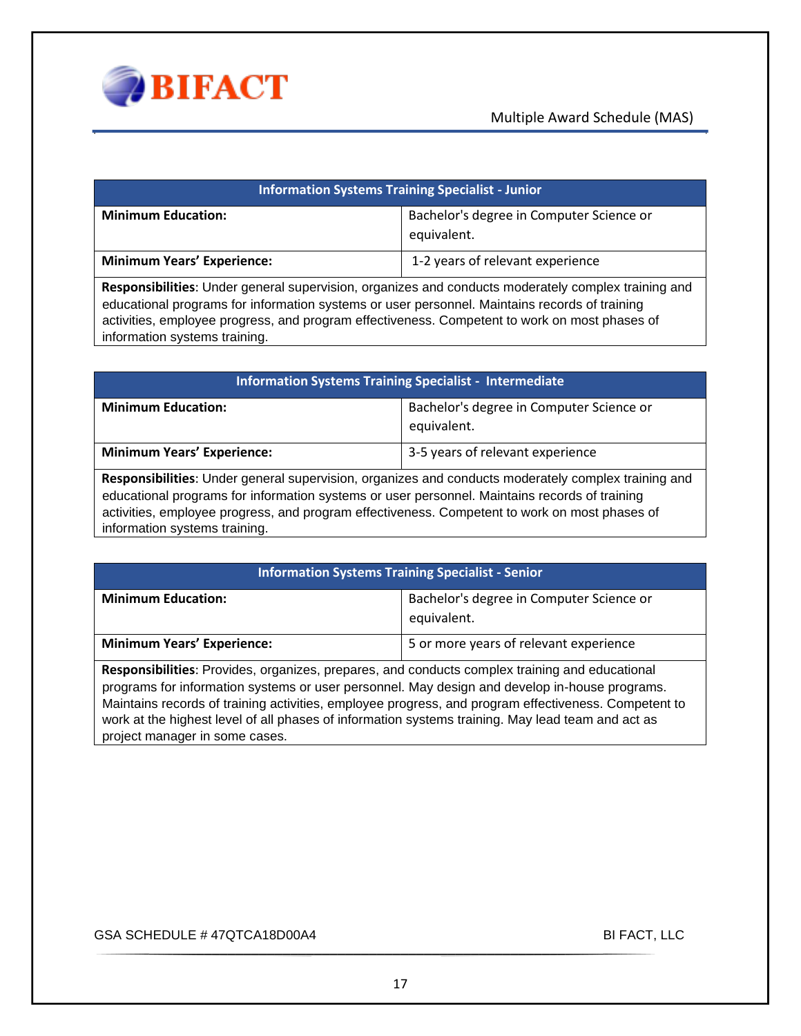

| <b>Information Systems Training Specialist - Junior</b>                                                    |                                                         |
|------------------------------------------------------------------------------------------------------------|---------------------------------------------------------|
| <b>Minimum Education:</b>                                                                                  | Bachelor's degree in Computer Science or<br>equivalent. |
| <b>Minimum Years' Experience:</b>                                                                          | 1-2 years of relevant experience                        |
| <b>Responsibilities:</b> Under general supervision, organizes and conducts moderately complex training and |                                                         |

**Responsibilities**: Under general supervision, organizes and conducts moderately complex training and educational programs for information systems or user personnel. Maintains records of training activities, employee progress, and program effectiveness. Competent to work on most phases of information systems training.

| <b>Information Systems Training Specialist - Intermediate</b>                                              |                                                         |
|------------------------------------------------------------------------------------------------------------|---------------------------------------------------------|
| <b>Minimum Education:</b>                                                                                  | Bachelor's degree in Computer Science or<br>equivalent. |
| <b>Minimum Years' Experience:</b>                                                                          | 3-5 years of relevant experience                        |
| <b>Responsibilities:</b> Under general supervision, organizes and conducts moderately complex training and |                                                         |

**Responsibilities**: Under general supervision, organizes and conducts moderately complex training and educational programs for information systems or user personnel. Maintains records of training activities, employee progress, and program effectiveness. Competent to work on most phases of information systems training.

| <b>Information Systems Training Specialist - Senior</b>                                                       |                                                         |
|---------------------------------------------------------------------------------------------------------------|---------------------------------------------------------|
| <b>Minimum Education:</b>                                                                                     | Bachelor's degree in Computer Science or<br>equivalent. |
| <b>Minimum Years' Experience:</b>                                                                             | 5 or more years of relevant experience                  |
| . Na shekara 11.11.12 shekara ta kata ta kana masa sa sana ta kata ta kata ta kata ta sana ta kata shekara ta |                                                         |

**Responsibilities**: Provides, organizes, prepares, and conducts complex training and educational programs for information systems or user personnel. May design and develop in-house programs. Maintains records of training activities, employee progress, and program effectiveness. Competent to work at the highest level of all phases of information systems training. May lead team and act as project manager in some cases.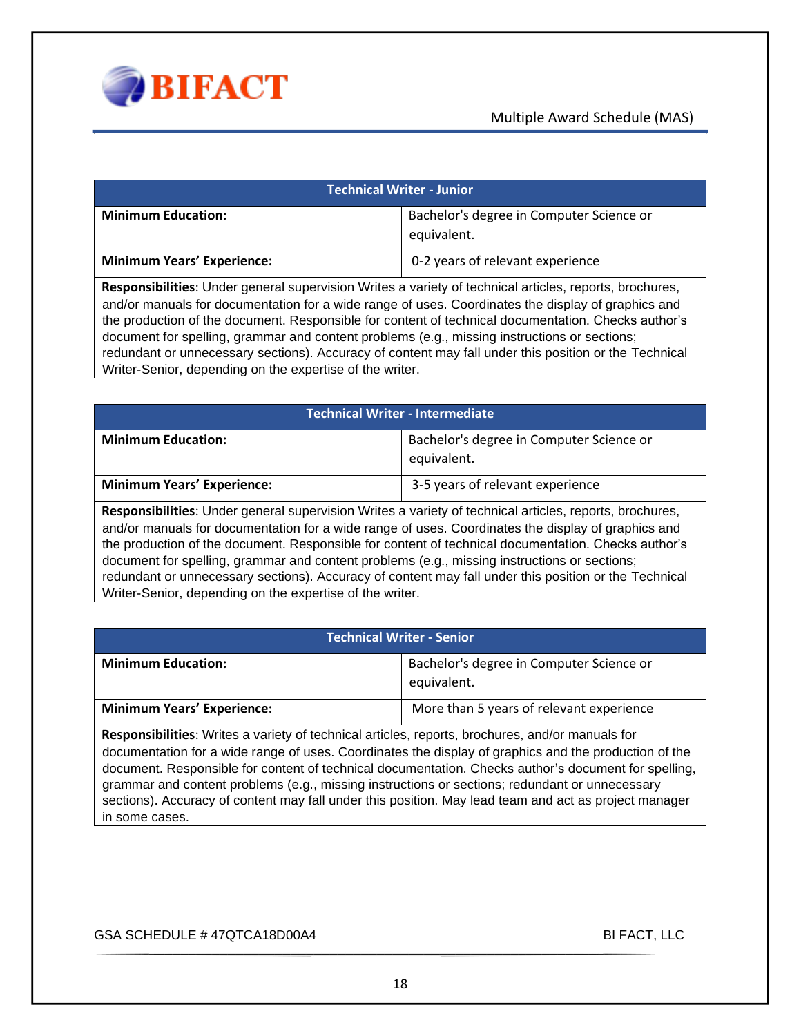

| Technical Writer - Junior                                                                                      |                                                         |
|----------------------------------------------------------------------------------------------------------------|---------------------------------------------------------|
| <b>Minimum Education:</b>                                                                                      | Bachelor's degree in Computer Science or<br>equivalent. |
| <b>Minimum Years' Experience:</b>                                                                              | 0-2 years of relevant experience                        |
| . Danamarathatta ay Isaacaan amaan amaan ahaan Maltaa ya madan ahaan ahaan ahaan ahaan amaan ahaan laga lagaan |                                                         |

**Responsibilities**: Under general supervision Writes a variety of technical articles, reports, brochures, and/or manuals for documentation for a wide range of uses. Coordinates the display of graphics and the production of the document. Responsible for content of technical documentation. Checks author's document for spelling, grammar and content problems (e.g., missing instructions or sections; redundant or unnecessary sections). Accuracy of content may fall under this position or the Technical Writer-Senior, depending on the expertise of the writer.

| <b>Technical Writer - Intermediate</b>                                                                                                                                                                                                                                                                                                                                                                                                                                                                                                                                                    |                                                         |  |
|-------------------------------------------------------------------------------------------------------------------------------------------------------------------------------------------------------------------------------------------------------------------------------------------------------------------------------------------------------------------------------------------------------------------------------------------------------------------------------------------------------------------------------------------------------------------------------------------|---------------------------------------------------------|--|
| <b>Minimum Education:</b>                                                                                                                                                                                                                                                                                                                                                                                                                                                                                                                                                                 | Bachelor's degree in Computer Science or<br>equivalent. |  |
| <b>Minimum Years' Experience:</b>                                                                                                                                                                                                                                                                                                                                                                                                                                                                                                                                                         | 3-5 years of relevant experience                        |  |
| Responsibilities: Under general supervision Writes a variety of technical articles, reports, brochures,<br>and/or manuals for documentation for a wide range of uses. Coordinates the display of graphics and<br>the production of the document. Responsible for content of technical documentation. Checks author's<br>document for spelling, grammar and content problems (e.g., missing instructions or sections;<br>redundant or unnecessary sections). Accuracy of content may fall under this position or the Technical<br>Writer-Senior, depending on the expertise of the writer. |                                                         |  |

#### **Technical Writer - Senior**

| <b>Minimum Education:</b>         | Bachelor's degree in Computer Science or<br>equivalent. |
|-----------------------------------|---------------------------------------------------------|
| <b>Minimum Years' Experience:</b> | More than 5 years of relevant experience                |

**Responsibilities**: Writes a variety of technical articles, reports, brochures, and/or manuals for documentation for a wide range of uses. Coordinates the display of graphics and the production of the document. Responsible for content of technical documentation. Checks author's document for spelling, grammar and content problems (e.g., missing instructions or sections; redundant or unnecessary sections). Accuracy of content may fall under this position. May lead team and act as project manager in some cases.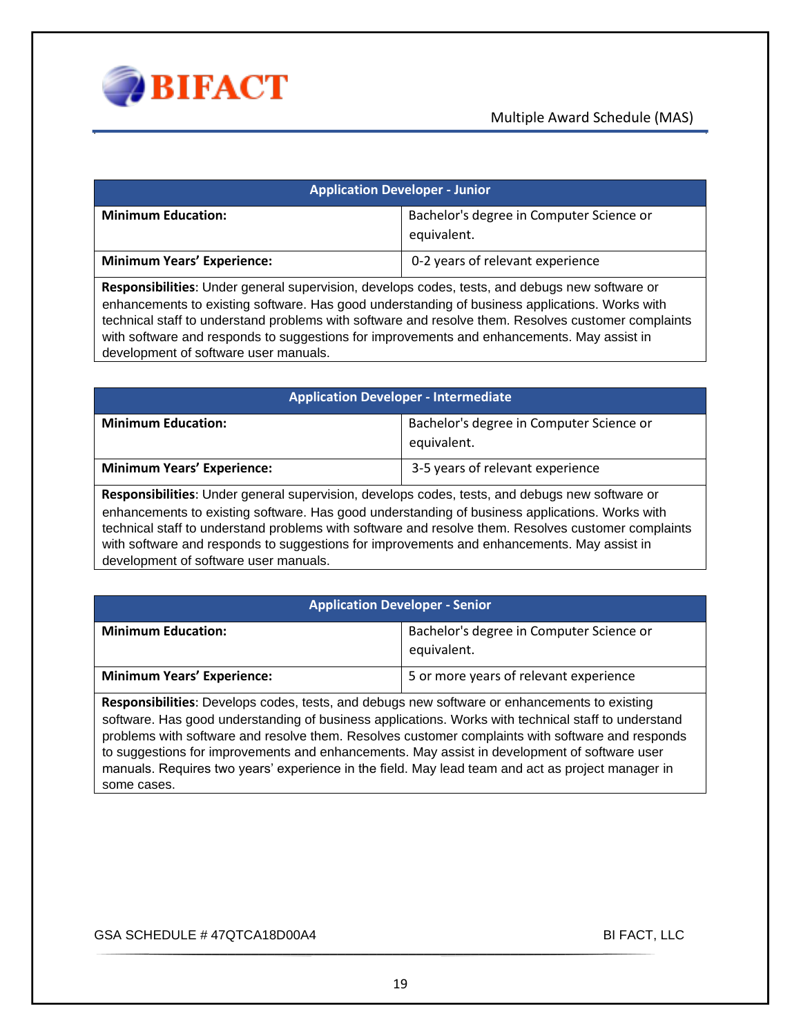

| <b>Application Developer - Junior</b>                                                                           |                                                         |
|-----------------------------------------------------------------------------------------------------------------|---------------------------------------------------------|
| <b>Minimum Education:</b>                                                                                       | Bachelor's degree in Computer Science or<br>equivalent. |
| <b>Minimum Years' Experience:</b>                                                                               | 0-2 years of relevant experience                        |
| . No see a substitute the first second construction of the state of the model of state the second of the second |                                                         |

**Responsibilities**: Under general supervision, develops codes, tests, and debugs new software or enhancements to existing software. Has good understanding of business applications. Works with technical staff to understand problems with software and resolve them. Resolves customer complaints with software and responds to suggestions for improvements and enhancements. May assist in development of software user manuals.

| <b>Application Developer - Intermediate</b> |                                                         |
|---------------------------------------------|---------------------------------------------------------|
| <b>Minimum Education:</b>                   | Bachelor's degree in Computer Science or<br>equivalent. |
| <b>Minimum Years' Experience:</b>           | 3-5 years of relevant experience                        |
|                                             |                                                         |

**Responsibilities**: Under general supervision, develops codes, tests, and debugs new software or enhancements to existing software. Has good understanding of business applications. Works with technical staff to understand problems with software and resolve them. Resolves customer complaints with software and responds to suggestions for improvements and enhancements. May assist in development of software user manuals.

|  |  | <b>Application Developer - Senior</b> |
|--|--|---------------------------------------|
|  |  |                                       |

| <b>Minimum Education:</b>         | Bachelor's degree in Computer Science or<br>equivalent. |
|-----------------------------------|---------------------------------------------------------|
| <b>Minimum Years' Experience:</b> | 5 or more years of relevant experience                  |

**Responsibilities**: Develops codes, tests, and debugs new software or enhancements to existing software. Has good understanding of business applications. Works with technical staff to understand problems with software and resolve them. Resolves customer complaints with software and responds to suggestions for improvements and enhancements. May assist in development of software user manuals. Requires two years' experience in the field. May lead team and act as project manager in some cases.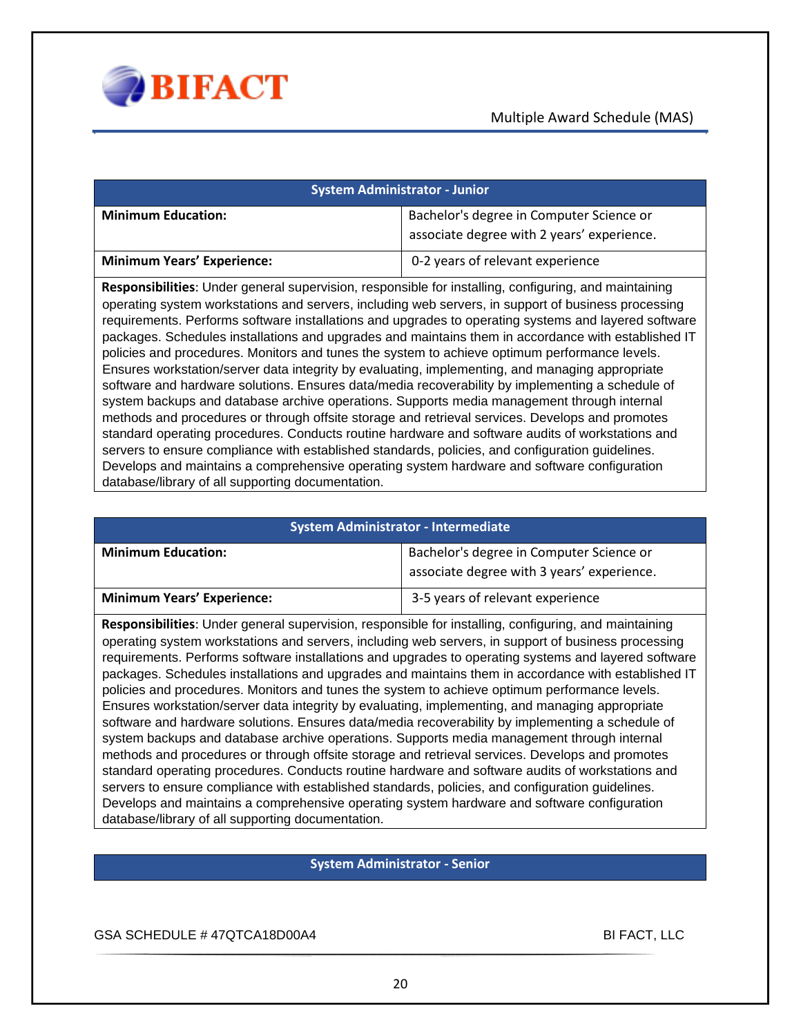

| <b>System Administrator - Junior</b> |                                                                                        |  |
|--------------------------------------|----------------------------------------------------------------------------------------|--|
| <b>Minimum Education:</b>            | Bachelor's degree in Computer Science or<br>associate degree with 2 years' experience. |  |
| <b>Minimum Years' Experience:</b>    | 0-2 years of relevant experience                                                       |  |

**Responsibilities**: Under general supervision, responsible for installing, configuring, and maintaining operating system workstations and servers, including web servers, in support of business processing requirements. Performs software installations and upgrades to operating systems and layered software packages. Schedules installations and upgrades and maintains them in accordance with established IT policies and procedures. Monitors and tunes the system to achieve optimum performance levels. Ensures workstation/server data integrity by evaluating, implementing, and managing appropriate software and hardware solutions. Ensures data/media recoverability by implementing a schedule of system backups and database archive operations. Supports media management through internal methods and procedures or through offsite storage and retrieval services. Develops and promotes standard operating procedures. Conducts routine hardware and software audits of workstations and servers to ensure compliance with established standards, policies, and configuration guidelines. Develops and maintains a comprehensive operating system hardware and software configuration database/library of all supporting documentation.

| <b>System Administrator - Intermediate</b> |                                                                                        |
|--------------------------------------------|----------------------------------------------------------------------------------------|
| <b>Minimum Education:</b>                  | Bachelor's degree in Computer Science or<br>associate degree with 3 years' experience. |
| <b>Minimum Years' Experience:</b>          | 3-5 years of relevant experience                                                       |

**Responsibilities**: Under general supervision, responsible for installing, configuring, and maintaining operating system workstations and servers, including web servers, in support of business processing requirements. Performs software installations and upgrades to operating systems and layered software packages. Schedules installations and upgrades and maintains them in accordance with established IT policies and procedures. Monitors and tunes the system to achieve optimum performance levels. Ensures workstation/server data integrity by evaluating, implementing, and managing appropriate software and hardware solutions. Ensures data/media recoverability by implementing a schedule of system backups and database archive operations. Supports media management through internal methods and procedures or through offsite storage and retrieval services. Develops and promotes standard operating procedures. Conducts routine hardware and software audits of workstations and servers to ensure compliance with established standards, policies, and configuration guidelines. Develops and maintains a comprehensive operating system hardware and software configuration database/library of all supporting documentation.

#### **System Administrator - Senior**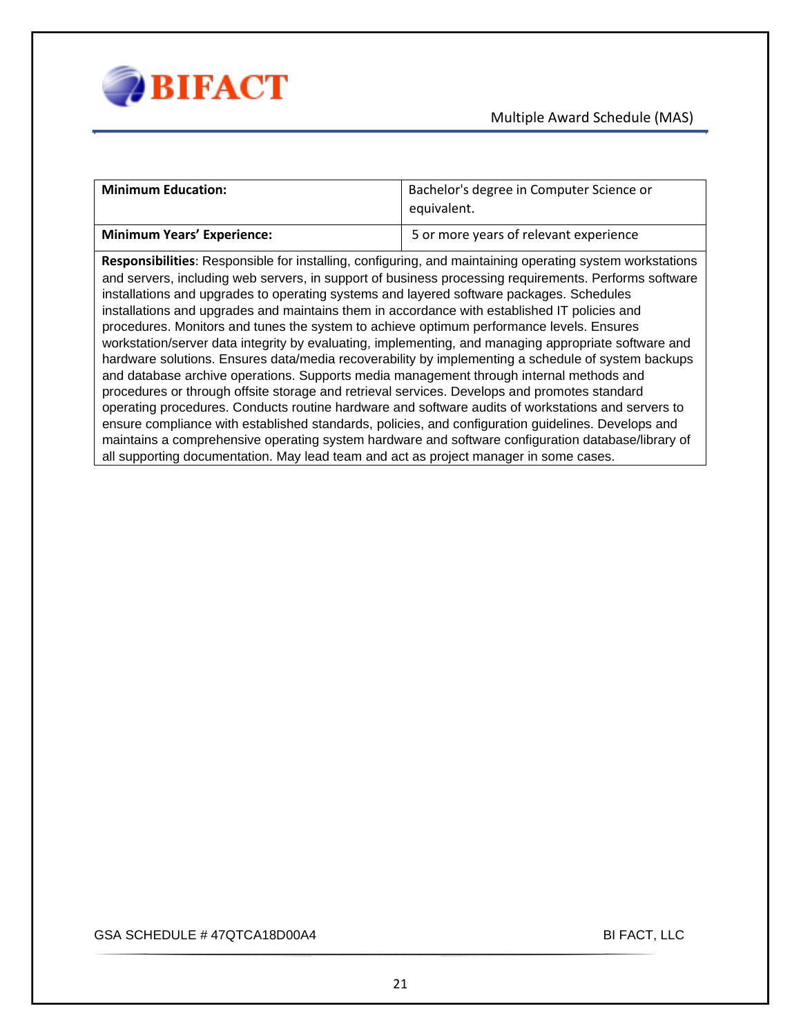

| <b>Minimum Education:</b>                                                                                                                                                                                                                                                                                                                                                                                                                                                                                                                                                                                                                                                                                                                                                                                                                                                                                                                                                                                                                                                                                                                                                                                                                                                                                                     | Bachelor's degree in Computer Science or<br>equivalent. |
|-------------------------------------------------------------------------------------------------------------------------------------------------------------------------------------------------------------------------------------------------------------------------------------------------------------------------------------------------------------------------------------------------------------------------------------------------------------------------------------------------------------------------------------------------------------------------------------------------------------------------------------------------------------------------------------------------------------------------------------------------------------------------------------------------------------------------------------------------------------------------------------------------------------------------------------------------------------------------------------------------------------------------------------------------------------------------------------------------------------------------------------------------------------------------------------------------------------------------------------------------------------------------------------------------------------------------------|---------------------------------------------------------|
| <b>Minimum Years' Experience:</b>                                                                                                                                                                                                                                                                                                                                                                                                                                                                                                                                                                                                                                                                                                                                                                                                                                                                                                                                                                                                                                                                                                                                                                                                                                                                                             | 5 or more years of relevant experience                  |
| Responsibilities: Responsible for installing, configuring, and maintaining operating system workstations<br>and servers, including web servers, in support of business processing requirements. Performs software<br>installations and upgrades to operating systems and layered software packages. Schedules<br>installations and upgrades and maintains them in accordance with established IT policies and<br>procedures. Monitors and tunes the system to achieve optimum performance levels. Ensures<br>workstation/server data integrity by evaluating, implementing, and managing appropriate software and<br>hardware solutions. Ensures data/media recoverability by implementing a schedule of system backups<br>and database archive operations. Supports media management through internal methods and<br>procedures or through offsite storage and retrieval services. Develops and promotes standard<br>operating procedures. Conducts routine hardware and software audits of workstations and servers to<br>ensure compliance with established standards, policies, and configuration guidelines. Develops and<br>maintains a comprehensive operating system hardware and software configuration database/library of<br>all supporting documentation. May lead team and act as project manager in some cases. |                                                         |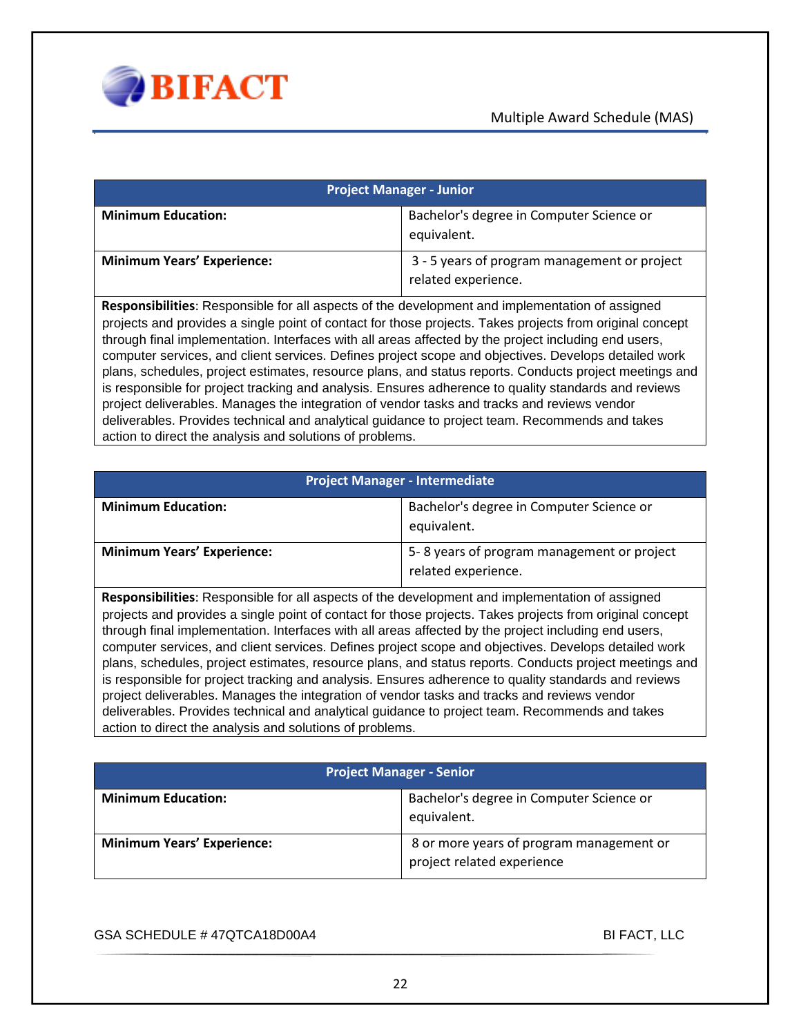

| <b>Project Manager - Junior</b>   |                                                                     |
|-----------------------------------|---------------------------------------------------------------------|
| <b>Minimum Education:</b>         | Bachelor's degree in Computer Science or<br>equivalent.             |
| <b>Minimum Years' Experience:</b> | 3 - 5 years of program management or project<br>related experience. |

**Responsibilities**: Responsible for all aspects of the development and implementation of assigned projects and provides a single point of contact for those projects. Takes projects from original concept through final implementation. Interfaces with all areas affected by the project including end users, computer services, and client services. Defines project scope and objectives. Develops detailed work plans, schedules, project estimates, resource plans, and status reports. Conducts project meetings and is responsible for project tracking and analysis. Ensures adherence to quality standards and reviews project deliverables. Manages the integration of vendor tasks and tracks and reviews vendor deliverables. Provides technical and analytical guidance to project team. Recommends and takes action to direct the analysis and solutions of problems.

| <b>Project Manager - Intermediate</b>                                                                  |                                                                   |
|--------------------------------------------------------------------------------------------------------|-------------------------------------------------------------------|
| <b>Minimum Education:</b>                                                                              | Bachelor's degree in Computer Science or<br>equivalent.           |
| <b>Minimum Years' Experience:</b>                                                                      | 5-8 years of program management or project<br>related experience. |
| <b>Responsibilities:</b> Responsible for all aspects of the development and implementation of assigned |                                                                   |

 $s$ ible for all aspects of the development and implementation of assigned projects and provides a single point of contact for those projects. Takes projects from original concept through final implementation. Interfaces with all areas affected by the project including end users, computer services, and client services. Defines project scope and objectives. Develops detailed work plans, schedules, project estimates, resource plans, and status reports. Conducts project meetings and is responsible for project tracking and analysis. Ensures adherence to quality standards and reviews project deliverables. Manages the integration of vendor tasks and tracks and reviews vendor deliverables. Provides technical and analytical guidance to project team. Recommends and takes action to direct the analysis and solutions of problems.

| <b>Project Manager - Senior</b>   |                                                                        |
|-----------------------------------|------------------------------------------------------------------------|
| <b>Minimum Education:</b>         | Bachelor's degree in Computer Science or<br>equivalent.                |
| <b>Minimum Years' Experience:</b> | 8 or more years of program management or<br>project related experience |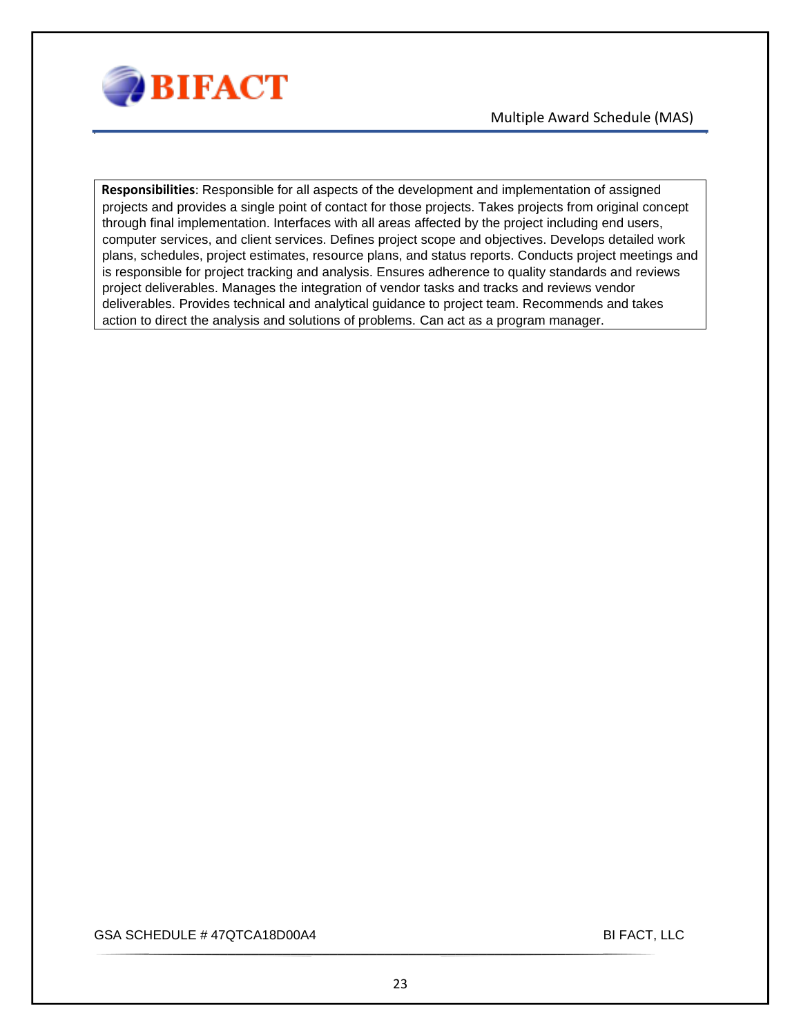

**Responsibilities**: Responsible for all aspects of the development and implementation of assigned projects and provides a single point of contact for those projects. Takes projects from original concept through final implementation. Interfaces with all areas affected by the project including end users, computer services, and client services. Defines project scope and objectives. Develops detailed work plans, schedules, project estimates, resource plans, and status reports. Conducts project meetings and is responsible for project tracking and analysis. Ensures adherence to quality standards and reviews project deliverables. Manages the integration of vendor tasks and tracks and reviews vendor deliverables. Provides technical and analytical guidance to project team. Recommends and takes action to direct the analysis and solutions of problems. Can act as a program manager.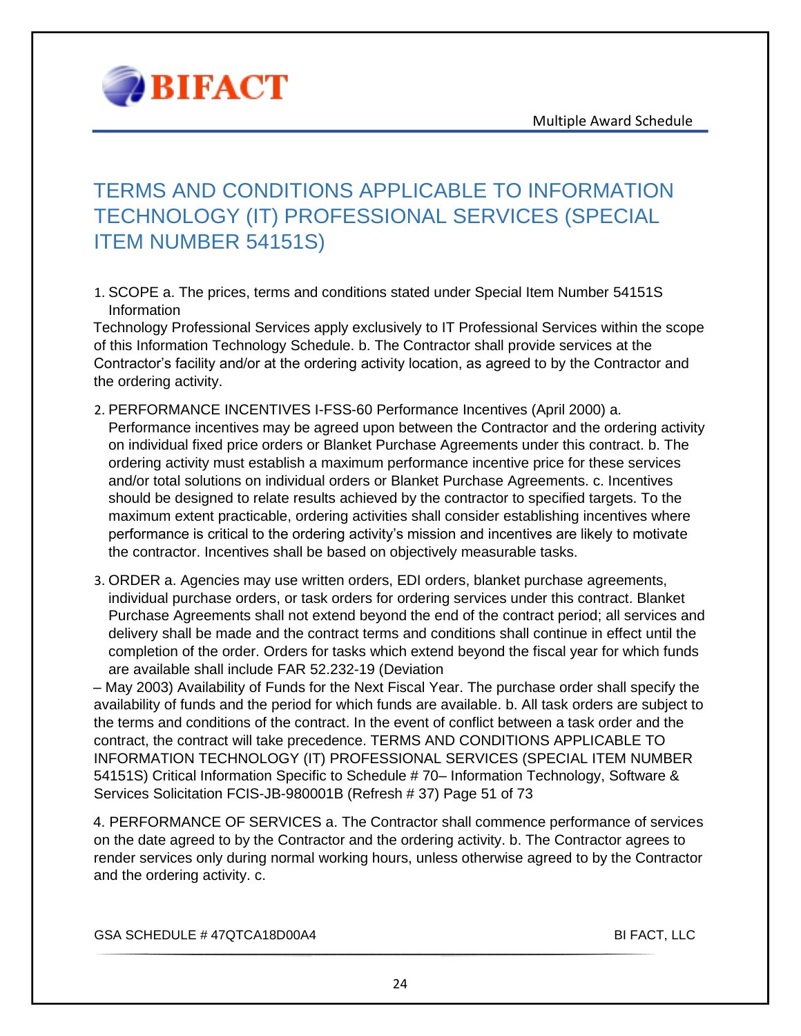

### <span id="page-23-0"></span>TERMS AND CONDITIONS APPLICABLE TO INFORMATION TECHNOLOGY (IT) PROFESSIONAL SERVICES (SPECIAL ITEM NUMBER 54151S)

1. SCOPE a. The prices, terms and conditions stated under Special Item Number 54151S Information

Technology Professional Services apply exclusively to IT Professional Services within the scope of this Information Technology Schedule. b. The Contractor shall provide services at the Contractor's facility and/or at the ordering activity location, as agreed to by the Contractor and the ordering activity.

- 2. PERFORMANCE INCENTIVES I-FSS-60 Performance Incentives (April 2000) a. Performance incentives may be agreed upon between the Contractor and the ordering activity on individual fixed price orders or Blanket Purchase Agreements under this contract. b. The ordering activity must establish a maximum performance incentive price for these services and/or total solutions on individual orders or Blanket Purchase Agreements. c. Incentives should be designed to relate results achieved by the contractor to specified targets. To the maximum extent practicable, ordering activities shall consider establishing incentives where performance is critical to the ordering activity's mission and incentives are likely to motivate the contractor. Incentives shall be based on objectively measurable tasks.
- 3. ORDER a. Agencies may use written orders, EDI orders, blanket purchase agreements, individual purchase orders, or task orders for ordering services under this contract. Blanket Purchase Agreements shall not extend beyond the end of the contract period; all services and delivery shall be made and the contract terms and conditions shall continue in effect until the completion of the order. Orders for tasks which extend beyond the fiscal year for which funds are available shall include FAR 52.232-19 (Deviation

– May 2003) Availability of Funds for the Next Fiscal Year. The purchase order shall specify the availability of funds and the period for which funds are available. b. All task orders are subject to the terms and conditions of the contract. In the event of conflict between a task order and the contract, the contract will take precedence. TERMS AND CONDITIONS APPLICABLE TO INFORMATION TECHNOLOGY (IT) PROFESSIONAL SERVICES (SPECIAL ITEM NUMBER 54151S) Critical Information Specific to Schedule # 70– Information Technology, Software & Services Solicitation FCIS-JB-980001B (Refresh # 37) Page 51 of 73

4. PERFORMANCE OF SERVICES a. The Contractor shall commence performance of services on the date agreed to by the Contractor and the ordering activity. b. The Contractor agrees to render services only during normal working hours, unless otherwise agreed to by the Contractor and the ordering activity. c.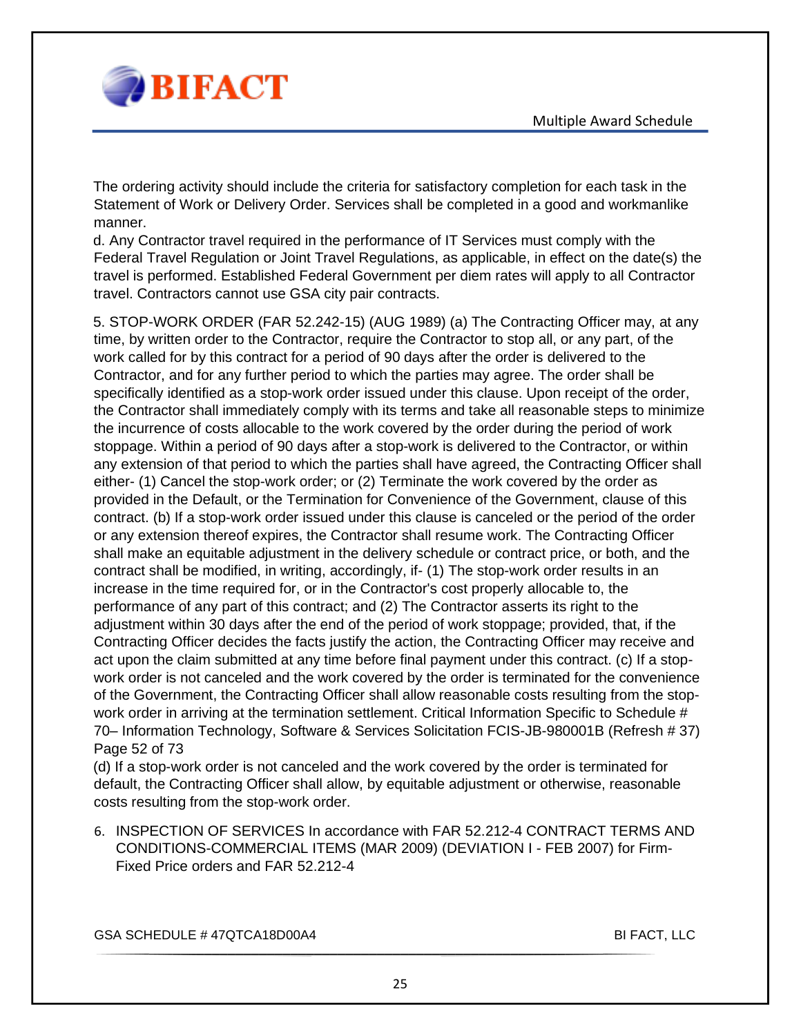

The ordering activity should include the criteria for satisfactory completion for each task in the Statement of Work or Delivery Order. Services shall be completed in a good and workmanlike manner.

d. Any Contractor travel required in the performance of IT Services must comply with the Federal Travel Regulation or Joint Travel Regulations, as applicable, in effect on the date(s) the travel is performed. Established Federal Government per diem rates will apply to all Contractor travel. Contractors cannot use GSA city pair contracts.

5. STOP-WORK ORDER (FAR 52.242-15) (AUG 1989) (a) The Contracting Officer may, at any time, by written order to the Contractor, require the Contractor to stop all, or any part, of the work called for by this contract for a period of 90 days after the order is delivered to the Contractor, and for any further period to which the parties may agree. The order shall be specifically identified as a stop-work order issued under this clause. Upon receipt of the order, the Contractor shall immediately comply with its terms and take all reasonable steps to minimize the incurrence of costs allocable to the work covered by the order during the period of work stoppage. Within a period of 90 days after a stop-work is delivered to the Contractor, or within any extension of that period to which the parties shall have agreed, the Contracting Officer shall either- (1) Cancel the stop-work order; or (2) Terminate the work covered by the order as provided in the Default, or the Termination for Convenience of the Government, clause of this contract. (b) If a stop-work order issued under this clause is canceled or the period of the order or any extension thereof expires, the Contractor shall resume work. The Contracting Officer shall make an equitable adjustment in the delivery schedule or contract price, or both, and the contract shall be modified, in writing, accordingly, if- (1) The stop-work order results in an increase in the time required for, or in the Contractor's cost properly allocable to, the performance of any part of this contract; and (2) The Contractor asserts its right to the adjustment within 30 days after the end of the period of work stoppage; provided, that, if the Contracting Officer decides the facts justify the action, the Contracting Officer may receive and act upon the claim submitted at any time before final payment under this contract. (c) If a stopwork order is not canceled and the work covered by the order is terminated for the convenience of the Government, the Contracting Officer shall allow reasonable costs resulting from the stopwork order in arriving at the termination settlement. Critical Information Specific to Schedule # 70– Information Technology, Software & Services Solicitation FCIS-JB-980001B (Refresh # 37) Page 52 of 73

(d) If a stop-work order is not canceled and the work covered by the order is terminated for default, the Contracting Officer shall allow, by equitable adjustment or otherwise, reasonable costs resulting from the stop-work order.

6. INSPECTION OF SERVICES In accordance with FAR 52.212-4 CONTRACT TERMS AND CONDITIONS-COMMERCIAL ITEMS (MAR 2009) (DEVIATION I - FEB 2007) for Firm-Fixed Price orders and FAR 52.212-4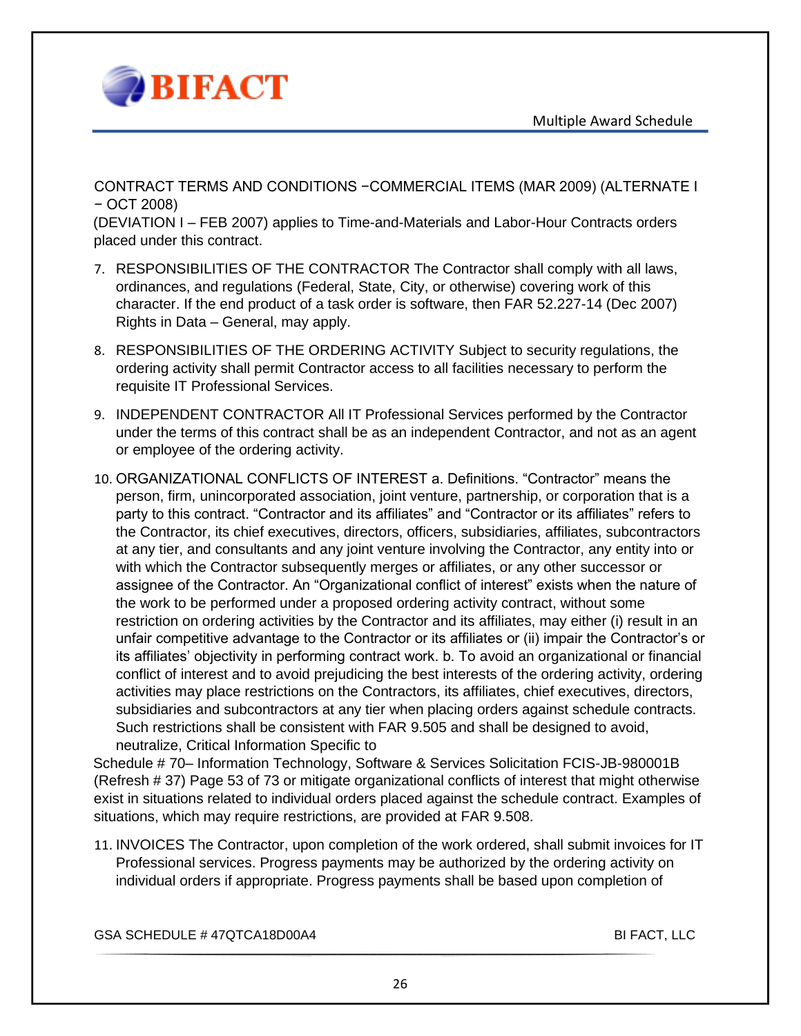

CONTRACT TERMS AND CONDITIONS −COMMERCIAL ITEMS (MAR 2009) (ALTERNATE I − OCT 2008)

(DEVIATION I – FEB 2007) applies to Time-and-Materials and Labor-Hour Contracts orders placed under this contract.

- 7. RESPONSIBILITIES OF THE CONTRACTOR The Contractor shall comply with all laws, ordinances, and regulations (Federal, State, City, or otherwise) covering work of this character. If the end product of a task order is software, then FAR 52.227-14 (Dec 2007) Rights in Data – General, may apply.
- 8. RESPONSIBILITIES OF THE ORDERING ACTIVITY Subject to security regulations, the ordering activity shall permit Contractor access to all facilities necessary to perform the requisite IT Professional Services.
- 9. INDEPENDENT CONTRACTOR All IT Professional Services performed by the Contractor under the terms of this contract shall be as an independent Contractor, and not as an agent or employee of the ordering activity.
- 10. ORGANIZATIONAL CONFLICTS OF INTEREST a. Definitions. "Contractor" means the person, firm, unincorporated association, joint venture, partnership, or corporation that is a party to this contract. "Contractor and its affiliates" and "Contractor or its affiliates" refers to the Contractor, its chief executives, directors, officers, subsidiaries, affiliates, subcontractors at any tier, and consultants and any joint venture involving the Contractor, any entity into or with which the Contractor subsequently merges or affiliates, or any other successor or assignee of the Contractor. An "Organizational conflict of interest" exists when the nature of the work to be performed under a proposed ordering activity contract, without some restriction on ordering activities by the Contractor and its affiliates, may either (i) result in an unfair competitive advantage to the Contractor or its affiliates or (ii) impair the Contractor's or its affiliates' objectivity in performing contract work. b. To avoid an organizational or financial conflict of interest and to avoid prejudicing the best interests of the ordering activity, ordering activities may place restrictions on the Contractors, its affiliates, chief executives, directors, subsidiaries and subcontractors at any tier when placing orders against schedule contracts. Such restrictions shall be consistent with FAR 9.505 and shall be designed to avoid, neutralize, Critical Information Specific to

Schedule # 70– Information Technology, Software & Services Solicitation FCIS-JB-980001B (Refresh # 37) Page 53 of 73 or mitigate organizational conflicts of interest that might otherwise exist in situations related to individual orders placed against the schedule contract. Examples of situations, which may require restrictions, are provided at FAR 9.508.

11. INVOICES The Contractor, upon completion of the work ordered, shall submit invoices for IT Professional services. Progress payments may be authorized by the ordering activity on individual orders if appropriate. Progress payments shall be based upon completion of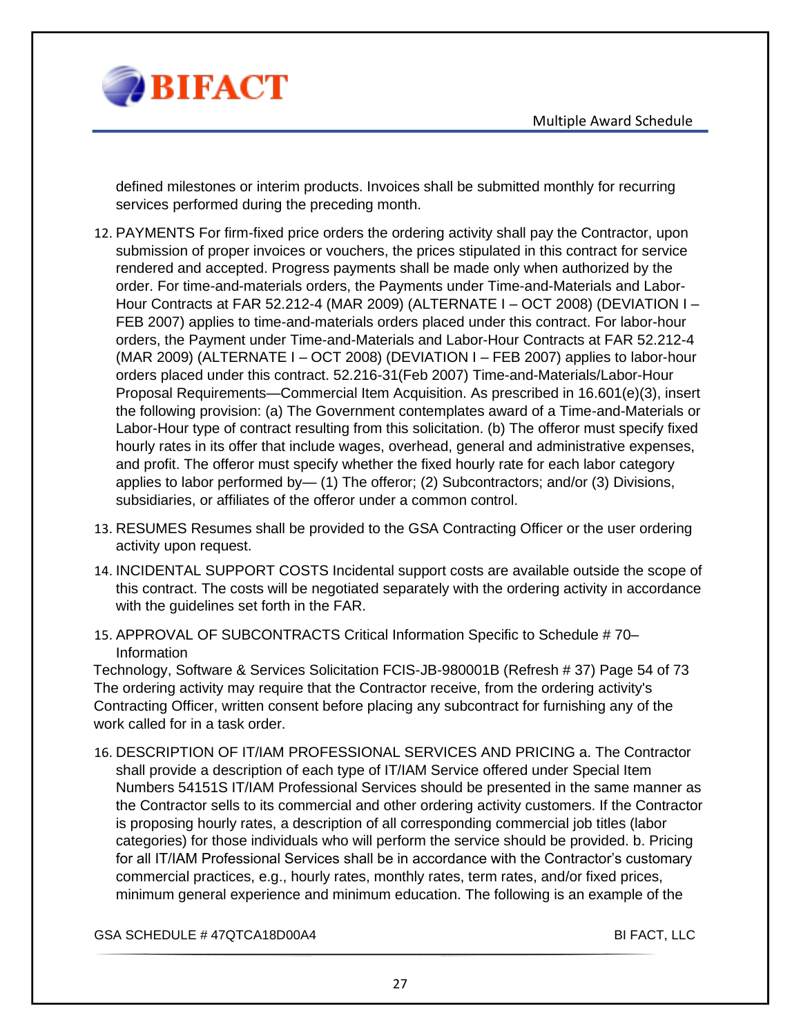

defined milestones or interim products. Invoices shall be submitted monthly for recurring services performed during the preceding month.

- 12. PAYMENTS For firm-fixed price orders the ordering activity shall pay the Contractor, upon submission of proper invoices or vouchers, the prices stipulated in this contract for service rendered and accepted. Progress payments shall be made only when authorized by the order. For time-and-materials orders, the Payments under Time-and-Materials and Labor-Hour Contracts at FAR 52.212-4 (MAR 2009) (ALTERNATE I – OCT 2008) (DEVIATION I – FEB 2007) applies to time-and-materials orders placed under this contract. For labor-hour orders, the Payment under Time-and-Materials and Labor-Hour Contracts at FAR 52.212-4 (MAR 2009) (ALTERNATE I – OCT 2008) (DEVIATION I – FEB 2007) applies to labor-hour orders placed under this contract. 52.216-31(Feb 2007) Time-and-Materials/Labor-Hour Proposal Requirements—Commercial Item Acquisition. As prescribed in 16.601(e)(3), insert the following provision: (a) The Government contemplates award of a Time-and-Materials or Labor-Hour type of contract resulting from this solicitation. (b) The offeror must specify fixed hourly rates in its offer that include wages, overhead, general and administrative expenses, and profit. The offeror must specify whether the fixed hourly rate for each labor category applies to labor performed by— (1) The offeror; (2) Subcontractors; and/or (3) Divisions, subsidiaries, or affiliates of the offeror under a common control.
- 13. RESUMES Resumes shall be provided to the GSA Contracting Officer or the user ordering activity upon request.
- 14. INCIDENTAL SUPPORT COSTS Incidental support costs are available outside the scope of this contract. The costs will be negotiated separately with the ordering activity in accordance with the guidelines set forth in the FAR.
- 15. APPROVAL OF SUBCONTRACTS Critical Information Specific to Schedule # 70– Information

Technology, Software & Services Solicitation FCIS-JB-980001B (Refresh # 37) Page 54 of 73 The ordering activity may require that the Contractor receive, from the ordering activity's Contracting Officer, written consent before placing any subcontract for furnishing any of the work called for in a task order.

16. DESCRIPTION OF IT/IAM PROFESSIONAL SERVICES AND PRICING a. The Contractor shall provide a description of each type of IT/IAM Service offered under Special Item Numbers 54151S IT/IAM Professional Services should be presented in the same manner as the Contractor sells to its commercial and other ordering activity customers. If the Contractor is proposing hourly rates, a description of all corresponding commercial job titles (labor categories) for those individuals who will perform the service should be provided. b. Pricing for all IT/IAM Professional Services shall be in accordance with the Contractor's customary commercial practices, e.g., hourly rates, monthly rates, term rates, and/or fixed prices, minimum general experience and minimum education. The following is an example of the